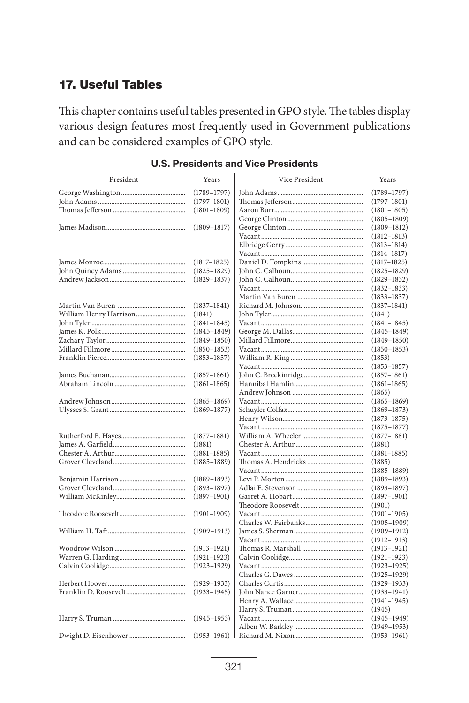# **17. Useful Tables**

This chapter contains useful tables presented in GPO style. The tables display various design features most frequently used in Government publications and can be considered examples of GPO style.

| President | Years           | Vice President | Years           |
|-----------|-----------------|----------------|-----------------|
|           | $(1789 - 1797)$ |                | $(1789 - 1797)$ |
|           | $(1797 - 1801)$ |                | $(1797 - 1801)$ |
|           | $(1801 - 1809)$ |                | $(1801 - 1805)$ |
|           |                 |                | $(1805 - 1809)$ |
|           | $(1809 - 1817)$ |                | $(1809 - 1812)$ |
|           |                 |                | $(1812 - 1813)$ |
|           |                 |                | $(1813 - 1814)$ |
|           |                 |                | $(1814 - 1817)$ |
|           | $(1817 - 1825)$ |                | $(1817 - 1825)$ |
|           | $(1825 - 1829)$ |                | $(1825 - 1829)$ |
|           | $(1829 - 1837)$ |                | $(1829 - 1832)$ |
|           |                 |                | $(1832 - 1833)$ |
|           |                 |                | $(1833 - 1837)$ |
|           | $(1837 - 1841)$ |                | $(1837 - 1841)$ |
|           | (1841)          |                | (1841)          |
|           | $(1841 - 1845)$ |                | $(1841 - 1845)$ |
|           | $(1845 - 1849)$ |                | $(1845 - 1849)$ |
|           | $(1849 - 1850)$ |                | $(1849 - 1850)$ |
|           | $(1850 - 1853)$ |                | $(1850 - 1853)$ |
|           | $(1853 - 1857)$ |                | (1853)          |
|           |                 |                | $(1853 - 1857)$ |
|           | $(1857 - 1861)$ |                | $(1857 - 1861)$ |
|           | $(1861 - 1865)$ |                | $(1861 - 1865)$ |
|           |                 |                | (1865)          |
|           | $(1865 - 1869)$ |                | $(1865 - 1869)$ |
|           | $(1869 - 1877)$ |                | $(1869 - 1873)$ |
|           |                 |                | $(1873 - 1875)$ |
|           |                 |                | $(1875 - 1877)$ |
|           | $(1877 - 1881)$ |                | $(1877 - 1881)$ |
|           | (1881)          |                | (1881)          |
|           | $(1881 - 1885)$ |                | $(1881 - 1885)$ |
|           | $(1885 - 1889)$ |                | (1885)          |
|           |                 |                | $(1885 - 1889)$ |
|           | $(1889 - 1893)$ |                | $(1889 - 1893)$ |
|           | $(1893 - 1897)$ |                | $(1893 - 1897)$ |
|           | $(1897 - 1901)$ |                | $(1897 - 1901)$ |
|           |                 |                | (1901)          |
|           | $(1901 - 1909)$ |                | $(1901 - 1905)$ |
|           |                 |                | $(1905 - 1909)$ |
|           | $(1909 - 1913)$ |                | $(1909 - 1912)$ |
|           |                 |                | $(1912 - 1913)$ |
|           | $(1913 - 1921)$ |                | $(1913 - 1921)$ |
|           | $(1921 - 1923)$ |                | $(1921 - 1923)$ |
|           | $(1923 - 1929)$ |                | (1923–1925)     |
|           |                 |                | $(1925 - 1929)$ |
|           | $(1929 - 1933)$ |                | $(1929 - 1933)$ |
|           | $(1933 - 1945)$ |                | $(1933 - 1941)$ |
|           |                 |                | $(1941 - 1945)$ |
|           |                 |                | (1945)          |
|           | $(1945 - 1953)$ |                | $(1945 - 1949)$ |
|           |                 |                | $(1949 - 1953)$ |
|           |                 |                | $(1953 - 1961)$ |

# **U.S. Presidents and Vice Presidents**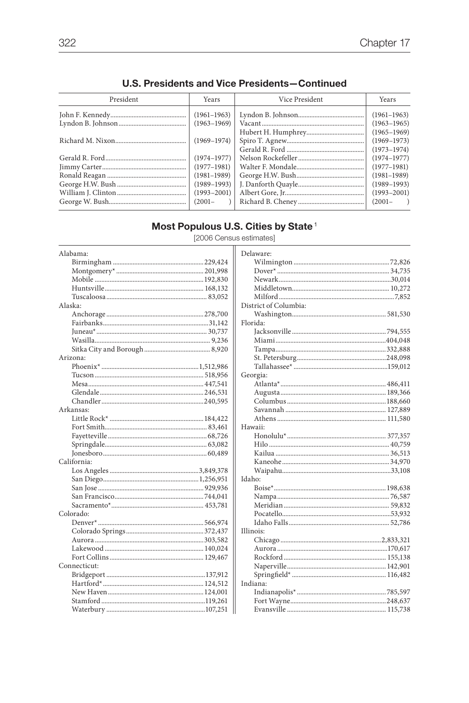| President | Years           | Vice President | Years           |
|-----------|-----------------|----------------|-----------------|
|           | $(1961 - 1963)$ |                | $(1961 - 1963)$ |
|           | $(1963 - 1969)$ |                | $(1963 - 1965)$ |
|           |                 |                | $(1965 - 1969)$ |
|           | $(1969 - 1974)$ |                | $(1969 - 1973)$ |
|           |                 |                | $(1973 - 1974)$ |
|           | $(1974 - 1977)$ |                | $(1974 - 1977)$ |
|           | $(1977 - 1981)$ |                | $(1977 - 1981)$ |
|           | $(1981 - 1989)$ |                | $(1981 - 1989)$ |
|           | $(1989 - 1993)$ |                | $(1989 - 1993)$ |
|           | $(1993 - 2001)$ |                | $(1993 - 2001)$ |
|           | $(2001 -$       |                | $(2001 - )$     |
|           |                 |                |                 |

### **U.S. Presidents and Vice Presidents-Continued**

Most Populous U.S. Cities by State<sup>1</sup>

| Alabama:     |
|--------------|
|              |
|              |
|              |
|              |
|              |
| Alaska:      |
|              |
|              |
|              |
|              |
|              |
| Arizona:     |
|              |
|              |
|              |
|              |
|              |
| Arkansas:    |
|              |
|              |
|              |
|              |
|              |
| California:  |
|              |
|              |
|              |
|              |
|              |
| Colorado:    |
|              |
|              |
|              |
|              |
|              |
| Connecticut: |
|              |
|              |
|              |
|              |
|              |

[2006 Census estimates]

| Delaware:             |
|-----------------------|
|                       |
|                       |
|                       |
|                       |
|                       |
| District of Columbia: |
|                       |
| Florida:              |
|                       |
|                       |
|                       |
|                       |
|                       |
| Georgia:              |
|                       |
|                       |
|                       |
|                       |
|                       |
| Hawaii:               |
|                       |
|                       |
|                       |
|                       |
|                       |
| Idaho:                |
|                       |
|                       |
|                       |
|                       |
|                       |
| Illinois:             |
|                       |
|                       |
|                       |
|                       |
|                       |
| Indiana:              |
|                       |
|                       |
|                       |
|                       |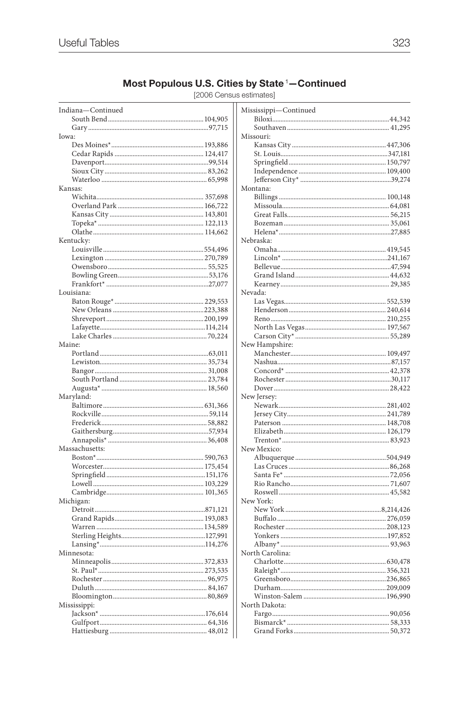# Most Populous U.S. Cities by State<sup>1</sup>-Continued

[2006 Census estimates]

| Indiana-Continued | Mississippi-Continued |
|-------------------|-----------------------|
|                   |                       |
|                   |                       |
| Iowa:             | Missouri:             |
|                   |                       |
|                   |                       |
|                   |                       |
|                   |                       |
|                   |                       |
| Kansas:           | Montana:              |
|                   |                       |
|                   |                       |
|                   |                       |
|                   |                       |
|                   |                       |
| Kentucky:         | Nebraska:             |
|                   |                       |
|                   |                       |
|                   |                       |
|                   |                       |
|                   |                       |
| Louisiana:        | Nevada:               |
|                   |                       |
|                   |                       |
|                   |                       |
|                   |                       |
|                   |                       |
| Maine:            | New Hampshire:        |
|                   |                       |
|                   |                       |
|                   |                       |
|                   |                       |
|                   |                       |
| Maryland:         | New Jersey:           |
|                   |                       |
|                   |                       |
|                   |                       |
|                   |                       |
|                   |                       |
| Massachusetts:    | New Mexico:           |
|                   |                       |
|                   |                       |
|                   |                       |
|                   |                       |
|                   |                       |
| Michigan:         | New York:             |
|                   |                       |
|                   |                       |
|                   |                       |
|                   |                       |
|                   |                       |
| Minnesota:        | North Carolina:       |
|                   |                       |
|                   |                       |
|                   |                       |
|                   |                       |
|                   |                       |
| Mississippi:      | North Dakota:         |
|                   |                       |
|                   |                       |
|                   |                       |
|                   |                       |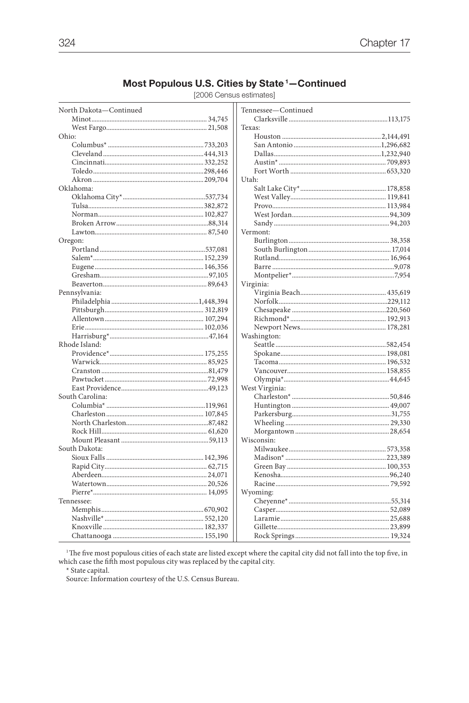### Most Populous U.S. Cities by State<sup>1</sup>-Continued

[2006 Census estimates]

| North Dakota-Continued | Tennessee-Continued |  |
|------------------------|---------------------|--|
|                        |                     |  |
|                        | Texas:              |  |
| Ohio:                  |                     |  |
|                        |                     |  |
|                        |                     |  |
|                        |                     |  |
|                        |                     |  |
|                        | Utah:               |  |
| Oklahoma:              |                     |  |
|                        |                     |  |
|                        |                     |  |
|                        |                     |  |
|                        |                     |  |
|                        | Vermont:            |  |
| Oregon:                |                     |  |
|                        |                     |  |
|                        |                     |  |
|                        |                     |  |
|                        |                     |  |
|                        |                     |  |
|                        | Virginia:           |  |
| Pennsylvania:          |                     |  |
|                        |                     |  |
|                        |                     |  |
|                        |                     |  |
|                        |                     |  |
|                        | Washington:         |  |
| Rhode Island:          |                     |  |
|                        |                     |  |
|                        |                     |  |
|                        |                     |  |
|                        |                     |  |
|                        | West Virginia:      |  |
| South Carolina:        |                     |  |
|                        |                     |  |
|                        |                     |  |
|                        |                     |  |
|                        |                     |  |
|                        | Wisconsin:          |  |
| South Dakota:          |                     |  |
|                        |                     |  |
|                        |                     |  |
|                        |                     |  |
|                        |                     |  |
|                        | Wyoming:            |  |
| Tennessee:             |                     |  |
|                        |                     |  |
|                        |                     |  |
|                        |                     |  |
|                        |                     |  |
|                        |                     |  |

 $^{\rm 1}$  The five most populous cities of each state are listed except where the capital city did not fall into the top five, in which case the fifth most populous city was replaced by the capital city.

 $^\star$  State capital.

Source: Information courtesy of the U.S. Census Bureau.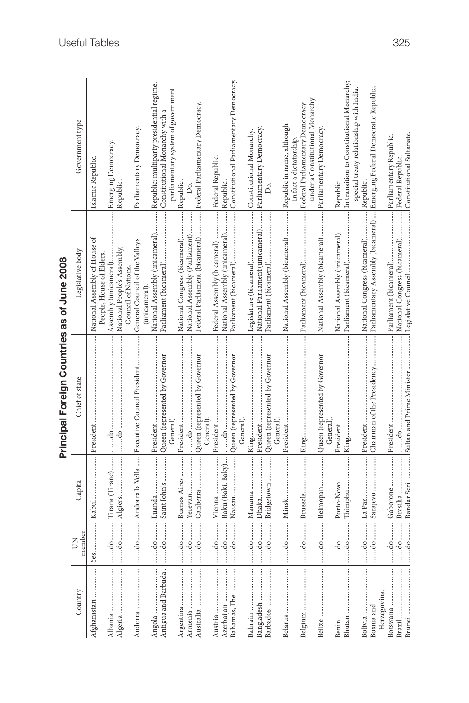|                     |                   |                   | Principal Foreign Countries as of June 2008          |                                                 |                                                                           |
|---------------------|-------------------|-------------------|------------------------------------------------------|-------------------------------------------------|---------------------------------------------------------------------------|
| Country             | member<br>Š       | Capital           | Chief of state                                       | Legislative body                                | Government type                                                           |
| Afghanistan         |                   |                   |                                                      | National Assembly of House of                   | Islamic Republic.                                                         |
|                     |                   |                   |                                                      | People, House of Elders.                        |                                                                           |
| Albania             | $\dots$ .do       | Tirana (Tirane)   | $\cdots$ do $\cdots$                                 | Assembly (unicameral)                           | Emerging Democracy.                                                       |
| Algeria             |                   |                   |                                                      | National People's Assembly,                     | Republic.                                                                 |
|                     |                   |                   |                                                      | Council of Nations.                             |                                                                           |
|                     |                   |                   | do   Andorra la Vella    Executive Council President | General Council of the Valleys<br>(unicameral). | Parliamentary Democracy                                                   |
|                     |                   |                   |                                                      | National Assembly (unicameral)                  | Republic: multiparty presidential regime.                                 |
| Antigua and Barbuda |                   |                   | Queen (represented by Governor                       |                                                 | Constitutional Monarchy with a                                            |
|                     |                   |                   | General)                                             |                                                 | parliamentary system of government.                                       |
| Argentina           | .do               | Buenos Aires      | President                                            | National Congress (bicameral)                   | Republic.                                                                 |
| Armenia             | $\frac{d}{d}$     | Yerevan           |                                                      | National Assembly (Parliament)                  |                                                                           |
| Australia           |                   | Canberra          | Queen (represented by Governor                       | Federal Parliament (bicameral)                  | Federal Parliamentary Democracy.                                          |
|                     |                   |                   | General)                                             |                                                 |                                                                           |
| Austria             | .do               |                   | President                                            | Federal Assembly (bicameral)                    | Federal Republic.                                                         |
| Azerbaijan          | $\frac{1}{2}$     | Baku (Baki, Baky) |                                                      | National Assembly (unicameral)                  | Republic.                                                                 |
| Bahamas, The        |                   |                   | Queen (represented by Governor                       |                                                 | Constitutional Parliamentary Democracy                                    |
|                     |                   |                   | General)                                             |                                                 |                                                                           |
| Bahrain             | do                |                   | King                                                 |                                                 | Constitutional Monarchy.                                                  |
| Bangladesh          | $\frac{1}{2}$     | Dhaka             | President                                            | National Parliament (unicameral)                | Parliamentary Democracy.                                                  |
| Barbados            |                   | Bridgetown        | Queen (represented by Governor                       |                                                 | Δ.                                                                        |
|                     |                   |                   | General)                                             |                                                 |                                                                           |
|                     |                   |                   | President                                            | National Assembly (bicameral)                   | Republic in name, although                                                |
|                     |                   |                   |                                                      |                                                 | in fact a dictatorship.                                                   |
|                     |                   |                   |                                                      |                                                 | Federal Parliamentary Democracy                                           |
|                     |                   |                   |                                                      |                                                 | under a Constitutional Monarchy.                                          |
| Belize              |                   | Belmopan          | Queen (represented by Governor<br>General)           | National Assembly (bicameral)                   | Parliamentary Democracy                                                   |
| Benin               |                   | Porto-Novo        |                                                      | National Assembly (unicameral)                  | Republic.                                                                 |
| Bhutan              | $\dots d0\dots d$ | Thimphu           |                                                      |                                                 |                                                                           |
|                     |                   |                   |                                                      |                                                 | special treaty relationship with India.                                   |
| Bolivia             |                   | La Paz            |                                                      | National Congress (bicameral)                   | Republic.                                                                 |
| Bosnia and          |                   | Sarajevo          | Chairman of the Presidency                           |                                                 | Parliamentary Assembly (bicameral)  Emerging Federal Democratic Republic. |
| Herzegovina.        |                   |                   |                                                      |                                                 |                                                                           |
| Botswana            |                   | ļ<br>Gaborone     |                                                      |                                                 | Parliamentary Republic.                                                   |
| Brazil              |                   | Brasilia          |                                                      | National Congress (bicameral)                   | Federal Republic.                                                         |
| Brunei              |                   |                   | do Bandar Seri  Sultan and Prime Minister            | l Legislative Council                           | Constitutional Sultanate.                                                 |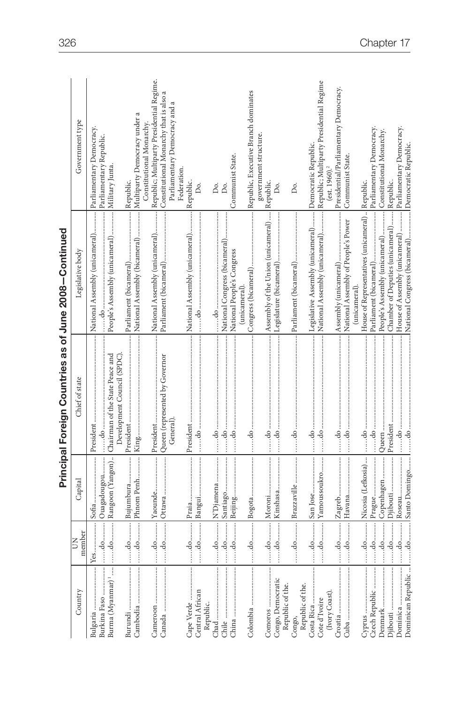|                                       |                                                                              |                   | Principal Foreign Countries as of June 2008-Continued                                                                                                                                                                                                                                                                                                                                                                                                                                           |                                                          |                                                                       |
|---------------------------------------|------------------------------------------------------------------------------|-------------------|-------------------------------------------------------------------------------------------------------------------------------------------------------------------------------------------------------------------------------------------------------------------------------------------------------------------------------------------------------------------------------------------------------------------------------------------------------------------------------------------------|----------------------------------------------------------|-----------------------------------------------------------------------|
| Country                               | member<br>Š                                                                  | Capital           | Chief of state                                                                                                                                                                                                                                                                                                                                                                                                                                                                                  | Legislative body                                         | Government type                                                       |
|                                       |                                                                              |                   |                                                                                                                                                                                                                                                                                                                                                                                                                                                                                                 | National Assembly (unicameral)                           | Parliamentary Democracy.                                              |
| Burkina Faso                          |                                                                              | Ouagadougou       |                                                                                                                                                                                                                                                                                                                                                                                                                                                                                                 |                                                          | Parliamentary Republic.                                               |
|                                       |                                                                              |                   | Burma (Myanmar)'   do   Rangoon (Yangon)  Chairman of the State Peace and<br>Development Council (SPDC)                                                                                                                                                                                                                                                                                                                                                                                         | People's Assembly (unicameral)   Military Junta          |                                                                       |
|                                       |                                                                              | Bujumbura         |                                                                                                                                                                                                                                                                                                                                                                                                                                                                                                 |                                                          | Republic.                                                             |
| Cambodia                              | $\dots d$ o $\dots \dots$                                                    | Phnom Penh        |                                                                                                                                                                                                                                                                                                                                                                                                                                                                                                 | National Assembly (bicameral)                            | Multiparty Democracy under a                                          |
| Cameroon                              |                                                                              |                   |                                                                                                                                                                                                                                                                                                                                                                                                                                                                                                 | National Assembly (unicameral)                           | Republic; Multiparty Presidential Regime.<br>Constitutional Monarchy. |
|                                       |                                                                              |                   |                                                                                                                                                                                                                                                                                                                                                                                                                                                                                                 |                                                          |                                                                       |
|                                       |                                                                              |                   | General)                                                                                                                                                                                                                                                                                                                                                                                                                                                                                        |                                                          | Parliamentary Democracy and a<br>Federation                           |
| Cape Verde                            | $\dots\ldots\text{do}\dots\ldots\ldots$                                      |                   |                                                                                                                                                                                                                                                                                                                                                                                                                                                                                                 | National Assembly (unicameral)                           | Republic.                                                             |
| Central African                       | $\dots$ do $\dots$                                                           | Bangui            |                                                                                                                                                                                                                                                                                                                                                                                                                                                                                                 | $\cdots$ do $\cdots$                                     | Δó.                                                                   |
| Republic.                             |                                                                              |                   |                                                                                                                                                                                                                                                                                                                                                                                                                                                                                                 |                                                          |                                                                       |
|                                       | $\dots d_0 \dots d_1$                                                        |                   |                                                                                                                                                                                                                                                                                                                                                                                                                                                                                                 |                                                          | Δó.                                                                   |
|                                       |                                                                              |                   |                                                                                                                                                                                                                                                                                                                                                                                                                                                                                                 | National Congress (bicameral)                            |                                                                       |
|                                       |                                                                              |                   | $\dots\dots \text{do}\dots\dots \text{Big} \boxtimes \text{g} \text{u} \text{u} \dots \text{u} \dots \text{u} \dots \text{do} \dots \text{u} \dots \text{u} \dots \text{u} \dots \text{u} \dots \text{u} \dots \text{u} \dots \text{u} \dots \text{u} \dots \text{u} \dots \text{u} \dots \text{u} \dots \text{u} \dots \text{u} \dots \text{u} \dots \text{u} \dots \text{u} \dots \text{u} \dots \text{u} \dots \text{u} \dots \text{u} \dots \text{u} \dots \text{u} \dots \text{u} \dots \$ | National People's Congress                               | Communist State.                                                      |
|                                       |                                                                              |                   |                                                                                                                                                                                                                                                                                                                                                                                                                                                                                                 | (unicameral)                                             |                                                                       |
|                                       |                                                                              |                   |                                                                                                                                                                                                                                                                                                                                                                                                                                                                                                 |                                                          |                                                                       |
|                                       |                                                                              |                   |                                                                                                                                                                                                                                                                                                                                                                                                                                                                                                 |                                                          | government structure                                                  |
|                                       |                                                                              |                   |                                                                                                                                                                                                                                                                                                                                                                                                                                                                                                 |                                                          |                                                                       |
| Congo, Democratic<br>Republic of the. |                                                                              |                   |                                                                                                                                                                                                                                                                                                                                                                                                                                                                                                 |                                                          | Do.                                                                   |
| Congo,                                |                                                                              |                   |                                                                                                                                                                                                                                                                                                                                                                                                                                                                                                 |                                                          | Ďо.                                                                   |
| Republic of the.                      |                                                                              |                   |                                                                                                                                                                                                                                                                                                                                                                                                                                                                                                 |                                                          |                                                                       |
| Costa Rica                            | $\begin{array}{c} \begin{array}{c} \begin{array}{c} \end{array} \end{array}$ |                   |                                                                                                                                                                                                                                                                                                                                                                                                                                                                                                 | Legislative Assembly (unicameral) Democratic Republic.   |                                                                       |
| Cote d'Ivoire                         | $\dots$ do $\dots\dots$                                                      | Yamoussoukro      |                                                                                                                                                                                                                                                                                                                                                                                                                                                                                                 | National Assembly (unicameral)                           | Republic; Multiparty Presidential Regime                              |
| (Ivory Coast).                        |                                                                              |                   |                                                                                                                                                                                                                                                                                                                                                                                                                                                                                                 |                                                          | $(est. 1960).$ <sup>2</sup>                                           |
|                                       |                                                                              |                   |                                                                                                                                                                                                                                                                                                                                                                                                                                                                                                 |                                                          | Presidential/Parliamentary Democracy.                                 |
|                                       |                                                                              |                   |                                                                                                                                                                                                                                                                                                                                                                                                                                                                                                 | National Assembly of People's Power                      | Communist State.                                                      |
|                                       |                                                                              |                   |                                                                                                                                                                                                                                                                                                                                                                                                                                                                                                 | (unicameral).                                            |                                                                       |
|                                       |                                                                              |                   |                                                                                                                                                                                                                                                                                                                                                                                                                                                                                                 | House of Representatives (unicameral)  Republic.         |                                                                       |
| Czech Republic                        | .do                                                                          |                   | $\dots$ do $\dots$                                                                                                                                                                                                                                                                                                                                                                                                                                                                              |                                                          |                                                                       |
|                                       | $\dots$ do $\dots\dots$                                                      | Copenhagen  Queen |                                                                                                                                                                                                                                                                                                                                                                                                                                                                                                 |                                                          |                                                                       |
|                                       | $\dots\ldots\ldots\ldots\ldots\ldots$                                        |                   |                                                                                                                                                                                                                                                                                                                                                                                                                                                                                                 | Chamber of Deputies (unicameral) Republic.               |                                                                       |
|                                       | $\dots d$ o $\dots \dots$                                                    |                   |                                                                                                                                                                                                                                                                                                                                                                                                                                                                                                 | House of Assembly (unicameral)  Parliamentary Democracy. |                                                                       |
| Dominican Republic                    |                                                                              |                   |                                                                                                                                                                                                                                                                                                                                                                                                                                                                                                 | National Congress (bicameral) Democratic Republic.       |                                                                       |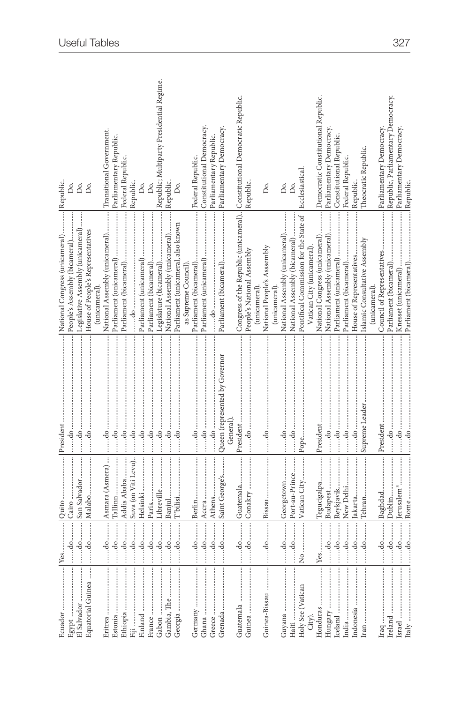|                                                                                                                                                                                                                                                                                                                                                                                                                                                                                                              |                           |                                                                                                          | President                                     | National Congress (unicameral)  Republic                                  |                                                          |
|--------------------------------------------------------------------------------------------------------------------------------------------------------------------------------------------------------------------------------------------------------------------------------------------------------------------------------------------------------------------------------------------------------------------------------------------------------------------------------------------------------------|---------------------------|----------------------------------------------------------------------------------------------------------|-----------------------------------------------|---------------------------------------------------------------------------|----------------------------------------------------------|
| Egypt                                                                                                                                                                                                                                                                                                                                                                                                                                                                                                        |                           |                                                                                                          | $\dots$ do $\dots$                            | People's Assembly (bicameral)                                             | δ.                                                       |
|                                                                                                                                                                                                                                                                                                                                                                                                                                                                                                              |                           | San Salvador                                                                                             | do                                            | Legislative Assembly (unicameral)                                         | Do.                                                      |
| Equatorial Guinea                                                                                                                                                                                                                                                                                                                                                                                                                                                                                            |                           |                                                                                                          |                                               | House of People's Representatives                                         | Do.                                                      |
|                                                                                                                                                                                                                                                                                                                                                                                                                                                                                                              |                           |                                                                                                          |                                               | (unicameral).                                                             |                                                          |
|                                                                                                                                                                                                                                                                                                                                                                                                                                                                                                              |                           | do  Asmara (Asmera)                                                                                      |                                               | National Assembly (unicameral)                                            | Transitional Government.                                 |
| Estonia                                                                                                                                                                                                                                                                                                                                                                                                                                                                                                      |                           | $\dots$ .do $\dots$ $\Box$ Tallinn $\dots$                                                               |                                               |                                                                           |                                                          |
|                                                                                                                                                                                                                                                                                                                                                                                                                                                                                                              |                           |                                                                                                          |                                               |                                                                           | Federal Republic                                         |
|                                                                                                                                                                                                                                                                                                                                                                                                                                                                                                              |                           | Suva (on Viti Levu)                                                                                      |                                               |                                                                           | Republic.                                                |
|                                                                                                                                                                                                                                                                                                                                                                                                                                                                                                              | $\ldots$ do $\ldots$      |                                                                                                          |                                               | Parliament (unicameral)                                                   | Δ.                                                       |
|                                                                                                                                                                                                                                                                                                                                                                                                                                                                                                              | $\frac{d}{d}$             |                                                                                                          |                                               |                                                                           | Do.                                                      |
|                                                                                                                                                                                                                                                                                                                                                                                                                                                                                                              | $\frac{1}{100}$           |                                                                                                          |                                               |                                                                           |                                                          |
|                                                                                                                                                                                                                                                                                                                                                                                                                                                                                                              | do                        |                                                                                                          |                                               | National Assembly (unicameral)                                            | Republic; Multiparty Presidential Regime.<br>  Republic. |
| Georgia                                                                                                                                                                                                                                                                                                                                                                                                                                                                                                      | $\dots d$ o $\dots \dots$ | $ \mathbf{T}^{\mathrm{o}}\mathbf{b} \mathrm{d}\mathbf{i} \mathrm{si} \ldots \ldots \ldots \ldots \ldots$ |                                               | Parliament (unicameral, also known                                        | Δ.                                                       |
|                                                                                                                                                                                                                                                                                                                                                                                                                                                                                                              |                           |                                                                                                          |                                               | as Supreme Council).                                                      |                                                          |
|                                                                                                                                                                                                                                                                                                                                                                                                                                                                                                              |                           |                                                                                                          |                                               |                                                                           | Federal Republic.                                        |
| Ghana                                                                                                                                                                                                                                                                                                                                                                                                                                                                                                        |                           |                                                                                                          |                                               |                                                                           | Constitutional Democracy                                 |
| Greece                                                                                                                                                                                                                                                                                                                                                                                                                                                                                                       |                           |                                                                                                          |                                               |                                                                           | Parliamentary Republic.                                  |
|                                                                                                                                                                                                                                                                                                                                                                                                                                                                                                              |                           | do Saint George's                                                                                        | Queen (represented by Governor                |                                                                           | Parliamentary Democracy.                                 |
|                                                                                                                                                                                                                                                                                                                                                                                                                                                                                                              |                           |                                                                                                          | General)                                      |                                                                           |                                                          |
|                                                                                                                                                                                                                                                                                                                                                                                                                                                                                                              |                           |                                                                                                          | President                                     | Congress of the Republic (unicameral) Constitutional Democratic Republic. |                                                          |
| Guinea $\dots\dots\dots\dots\dots\dots\dots\dots$                                                                                                                                                                                                                                                                                                                                                                                                                                                            |                           |                                                                                                          |                                               | People's National Assembly                                                | Republic.                                                |
|                                                                                                                                                                                                                                                                                                                                                                                                                                                                                                              |                           |                                                                                                          |                                               | (unicameral)                                                              |                                                          |
| Guinea-Bissau                                                                                                                                                                                                                                                                                                                                                                                                                                                                                                |                           |                                                                                                          |                                               | National People's Asssembly                                               | Do.                                                      |
|                                                                                                                                                                                                                                                                                                                                                                                                                                                                                                              |                           |                                                                                                          |                                               | (unicameral)                                                              |                                                          |
|                                                                                                                                                                                                                                                                                                                                                                                                                                                                                                              |                           |                                                                                                          |                                               | National Assembly (unicameral)                                            | Do.                                                      |
|                                                                                                                                                                                                                                                                                                                                                                                                                                                                                                              | $\dots d$ o $\dots \dots$ | Port-au-Prince                                                                                           |                                               | National Assembly (bicameral)                                             | Δo.                                                      |
| Holy See (Vatican                                                                                                                                                                                                                                                                                                                                                                                                                                                                                            |                           | Vatican City                                                                                             |                                               | Pontifical Commission for the State of   Ecclesiastical                   |                                                          |
| City).                                                                                                                                                                                                                                                                                                                                                                                                                                                                                                       |                           |                                                                                                          |                                               | Vatican City (unicameral).                                                |                                                          |
|                                                                                                                                                                                                                                                                                                                                                                                                                                                                                                              |                           | Tegucigalpa                                                                                              |                                               | National Congress (unicameral)                                            | Democratic Constitutional Republic.                      |
|                                                                                                                                                                                                                                                                                                                                                                                                                                                                                                              |                           | Budapest                                                                                                 |                                               | National Assembly (unicameral)                                            | Parliamentary Democracy                                  |
|                                                                                                                                                                                                                                                                                                                                                                                                                                                                                                              |                           | Reykjavik                                                                                                |                                               | Parliament (unicameral)                                                   | Constitutional Republic.                                 |
| India                                                                                                                                                                                                                                                                                                                                                                                                                                                                                                        |                           | New Delhi                                                                                                |                                               | Parliament (bicameral)                                                    | Federal Republic.                                        |
| Indonesia                                                                                                                                                                                                                                                                                                                                                                                                                                                                                                    | $\ldots$ do $\ldots$      | Jakarta                                                                                                  |                                               | House of Representatives                                                  | Republic.                                                |
| $\begin{minipage}{0.9\linewidth} \textbf{Ira} \end{minipage} \begin{minipage}{0.9\linewidth} \textbf{Ira} \end{minipage} \begin{minipage}{0.9\linewidth} \textbf{Ira} \end{minipage} \begin{minipage}{0.9\linewidth} \textbf{Ira} \end{minipage} \begin{minipage}{0.9\linewidth} \textbf{Ira} \end{minipage} \begin{minipage}{0.9\linewidth} \textbf{Ira} \end{minipage} \begin{minipage}{0.9\linewidth} \textbf{Ira} \end{minipage} \begin{minipage}{0.9\linewidth} \textbf{Ira} \end{minipage} \begin{min$ |                           |                                                                                                          |                                               | Islamic Consultative Assembly                                             | Theocratic Republic.                                     |
|                                                                                                                                                                                                                                                                                                                                                                                                                                                                                                              |                           |                                                                                                          |                                               | (unicameral).                                                             |                                                          |
| $\begin{minipage}{0.9\linewidth} \textbf{Iraq} \end{minipage} \begin{minipage}{0.9\linewidth} \textbf{Iraq} \end{minipage} \begin{minipage}{0.9\linewidth} \textbf{Iraq} \end{minipage} \begin{minipage}{0.9\linewidth} \textbf{Iraq} \end{minipage} \begin{minipage}{0.9\linewidth} \textbf{Iraq} \end{minipage} \begin{minipage}{0.9\linewidth} \textbf{Iraq} \end{minipage} \begin{minipage}{0.9\linewidth} \textbf{Iraq} \end{minipage} \begin{minipage}{0.9\linewidth} \textbf{Iraq} \end{$             |                           | $\dots \dots$ do $\dots \dots \dots$ Baghdad $\dots \dots \dots \dots$                                   |                                               | Council of Representatives                                                | Parliamentary Democracy.                                 |
|                                                                                                                                                                                                                                                                                                                                                                                                                                                                                                              | $\dots d$ o $\dots \dots$ |                                                                                                          |                                               |                                                                           | Republic, Parliamentary Democracy.                       |
|                                                                                                                                                                                                                                                                                                                                                                                                                                                                                                              |                           | Jerusalem <sup>3</sup>                                                                                   |                                               |                                                                           | Parliamentary Democracy.                                 |
| Italy                                                                                                                                                                                                                                                                                                                                                                                                                                                                                                        |                           |                                                                                                          | $\dots$ . $d$ $\circ$ $\dots$ $\dots$ $\dots$ |                                                                           |                                                          |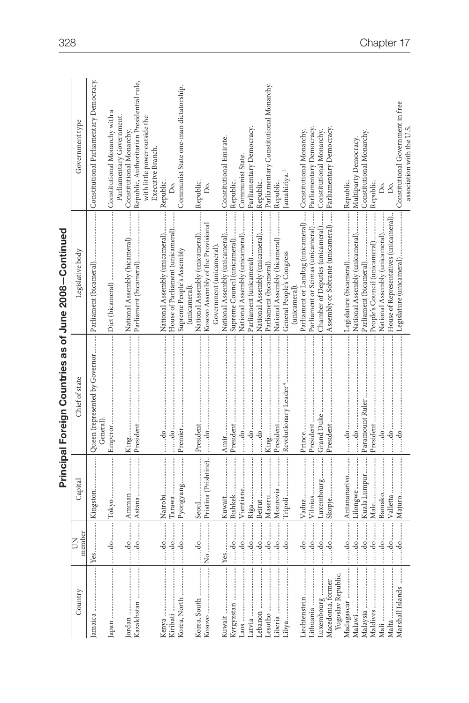|                                                                                                                                                                                                                                                                                                                                                                                                                                                                                                  |                                                                               |                      | Principal Foreign Countries as of June 2008-Continued |                                                             |                                                                             |
|--------------------------------------------------------------------------------------------------------------------------------------------------------------------------------------------------------------------------------------------------------------------------------------------------------------------------------------------------------------------------------------------------------------------------------------------------------------------------------------------------|-------------------------------------------------------------------------------|----------------------|-------------------------------------------------------|-------------------------------------------------------------|-----------------------------------------------------------------------------|
| Country                                                                                                                                                                                                                                                                                                                                                                                                                                                                                          | member<br>$\overline{5}$                                                      | Capital              | Chief of state                                        | Legislative body                                            | Government type                                                             |
|                                                                                                                                                                                                                                                                                                                                                                                                                                                                                                  |                                                                               |                      | Queen (represented by Governor<br>General)            |                                                             | Constitutional Parliamentary Democracy.                                     |
|                                                                                                                                                                                                                                                                                                                                                                                                                                                                                                  | $\begin{array}{c} \begin{array}{c} \begin{array}{c} \end{array} \end{array}$  | Tokyo                |                                                       |                                                             | Constitutional Monarchy with                                                |
|                                                                                                                                                                                                                                                                                                                                                                                                                                                                                                  |                                                                               |                      |                                                       | National Assembly (bicameral)                               | Parliamentary Government.<br>Constitutional Monarchy.                       |
|                                                                                                                                                                                                                                                                                                                                                                                                                                                                                                  |                                                                               |                      |                                                       |                                                             | Republic, Authoritarian Presidential rule,<br>with little power outside the |
|                                                                                                                                                                                                                                                                                                                                                                                                                                                                                                  |                                                                               |                      |                                                       | National Assembly (unicameral)                              | Executive Branch.                                                           |
| Kiribati                                                                                                                                                                                                                                                                                                                                                                                                                                                                                         |                                                                               |                      | $\cdots$ do $\cdots$<br>do                            | House of Parliament (unicameral)                            | Republic                                                                    |
| Korea, North                                                                                                                                                                                                                                                                                                                                                                                                                                                                                     |                                                                               |                      |                                                       | Supreme People's Assembly                                   | Communist State one-man dictatorship.                                       |
|                                                                                                                                                                                                                                                                                                                                                                                                                                                                                                  | $\begin{array}{c} \begin{array}{c} \dots \dots \dots \end{array} \end{array}$ |                      |                                                       | National Assembly (unicameral)<br>unicameral)               | Republic.                                                                   |
| $\begin{minipage}{0.9\linewidth} \begin{minipage}{0.9\linewidth} \begin{minipage}{0.9\linewidth} \begin{minipage}{0.9\linewidth} \begin{minipage}{0.9\linewidth} \hline \multicolumn{2}{c}{\textbf{Kosovo}\hspace{0.05cm}\textbf{}\hspace{0.05cm}\multicolumn{2}{c}{\textbf{}}\end{minipage}} \end{minipage} \end{minipage} \end{minipage} \vspace{-0.3cm} \begin{minipage}{0.9\linewidth} \begin{minipage}{0.9\linewidth} \hline \multicolumn{2}{c}{\textbf{Kosovo}\hspace{0.05cm}\textbf{}\hs$ |                                                                               | Pristina (Prishtine) | $\dots$ do $\dots$                                    | Kosovo Assembly of the Provisional                          | Do.                                                                         |
|                                                                                                                                                                                                                                                                                                                                                                                                                                                                                                  |                                                                               |                      |                                                       | Government (unicameral).                                    |                                                                             |
|                                                                                                                                                                                                                                                                                                                                                                                                                                                                                                  |                                                                               |                      |                                                       | National Assembly (unicameral)                              | Constitutional Emirate.                                                     |
|                                                                                                                                                                                                                                                                                                                                                                                                                                                                                                  |                                                                               |                      |                                                       | Supreme Council (unicameral)                                | Republic.                                                                   |
|                                                                                                                                                                                                                                                                                                                                                                                                                                                                                                  |                                                                               | Vientiane            | $\dots$ do $\dots$                                    | National Assembly (unicameral)                              | Communist State.                                                            |
|                                                                                                                                                                                                                                                                                                                                                                                                                                                                                                  |                                                                               |                      |                                                       | Parliament (unicameral)                                     | Parliamentary Democracy.                                                    |
| Lebanon                                                                                                                                                                                                                                                                                                                                                                                                                                                                                          |                                                                               |                      | $\dots$ do $\dots$                                    | National Assembly (unicameral)                              | Republic.                                                                   |
| Lesotho                                                                                                                                                                                                                                                                                                                                                                                                                                                                                          |                                                                               |                      |                                                       | Parliament (bicameral)                                      | Parliamentary Constitutional Monarchy.                                      |
|                                                                                                                                                                                                                                                                                                                                                                                                                                                                                                  |                                                                               | Monrovia             |                                                       | National Assembly (bicameral)                               | Republic.                                                                   |
|                                                                                                                                                                                                                                                                                                                                                                                                                                                                                                  |                                                                               |                      |                                                       | General People's Congress                                   | amahiriya.                                                                  |
|                                                                                                                                                                                                                                                                                                                                                                                                                                                                                                  |                                                                               |                      |                                                       | (unicameral).                                               |                                                                             |
| Liechtenstein                                                                                                                                                                                                                                                                                                                                                                                                                                                                                    |                                                                               |                      | Prince                                                | Parliament or Landtag (unicameral) Constitutional Monarchy. |                                                                             |
|                                                                                                                                                                                                                                                                                                                                                                                                                                                                                                  |                                                                               |                      | President                                             | Parliament or Seimas (unicameral)                           | Parliamentary Democracy.                                                    |
| Luxembourg                                                                                                                                                                                                                                                                                                                                                                                                                                                                                       |                                                                               | Luxembourg           | Grand Duke                                            | Chamber of Deputies (unicameral)                            | Constitutional Monarchy.                                                    |
| Yugoslav Republic.<br>Macedonia, former                                                                                                                                                                                                                                                                                                                                                                                                                                                          |                                                                               |                      |                                                       | Assembly or Sobranie (unicameral)                           | Parliamentary Democracy                                                     |
|                                                                                                                                                                                                                                                                                                                                                                                                                                                                                                  |                                                                               |                      |                                                       |                                                             | Republic.                                                                   |
|                                                                                                                                                                                                                                                                                                                                                                                                                                                                                                  |                                                                               |                      |                                                       | National Assembly (unicameral)  Multiparty Democracy        |                                                                             |
|                                                                                                                                                                                                                                                                                                                                                                                                                                                                                                  |                                                                               | Kuala Lumpur         |                                                       |                                                             | Constitutional Monarchy                                                     |
|                                                                                                                                                                                                                                                                                                                                                                                                                                                                                                  |                                                                               | Male                 | President                                             | People's Council (unicameral)                               | Republic.                                                                   |
|                                                                                                                                                                                                                                                                                                                                                                                                                                                                                                  |                                                                               | Bamako               | do                                                    | National Assembly (unicameral)                              | Δó.                                                                         |
| Malta                                                                                                                                                                                                                                                                                                                                                                                                                                                                                            |                                                                               | Valletta             |                                                       | House of Representatives (unicameral)                       | Do.                                                                         |
| Marshall Islands                                                                                                                                                                                                                                                                                                                                                                                                                                                                                 |                                                                               | Majuro               | do                                                    | Legislature (unicameral)                                    | Constitutional Government in free                                           |
|                                                                                                                                                                                                                                                                                                                                                                                                                                                                                                  |                                                                               |                      |                                                       |                                                             | association with the U.S.                                                   |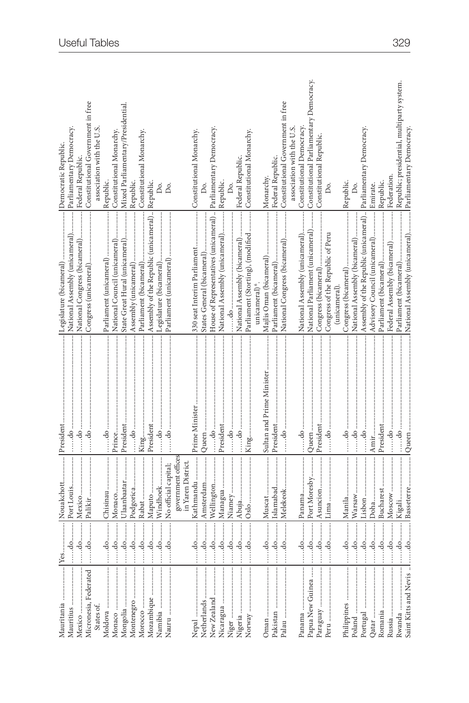| Mauritania            |                                                                              | Nouakchott                               | President                 |                                                                | Democratic Republic.                       |
|-----------------------|------------------------------------------------------------------------------|------------------------------------------|---------------------------|----------------------------------------------------------------|--------------------------------------------|
| Mauritius             |                                                                              | Port Louis                               |                           | National Assembly (unicameral)                                 | Parliamentary Democracy.                   |
| Mexico                |                                                                              |                                          |                           |                                                                | Federal Republic.                          |
| Micronesia, Federated |                                                                              |                                          |                           |                                                                | Constitutional Government in free          |
| States of.            |                                                                              |                                          |                           |                                                                | association with the U.S.                  |
|                       |                                                                              |                                          |                           |                                                                | Republic.                                  |
|                       |                                                                              |                                          |                           |                                                                |                                            |
|                       |                                                                              | Ulaanbaatar                              |                           | State Great Hural (unicameral)                                 | Mixed Parliamentary/Presidential           |
|                       |                                                                              | Podgorica                                |                           |                                                                | Republic.                                  |
|                       | $\dots$ do $\dots\dots$                                                      |                                          |                           |                                                                | Constitutional Monarchy.                   |
|                       |                                                                              |                                          |                           | Assembly of the Republic (unicameral)  Republic.               |                                            |
|                       | $\ddot{a}$                                                                   | Windhoek                                 |                           |                                                                | δ.                                         |
| Nauru                 |                                                                              | No official capital;                     |                           |                                                                | Δo.                                        |
|                       |                                                                              |                                          |                           |                                                                |                                            |
|                       |                                                                              | government offices<br>in Yaren District. |                           |                                                                |                                            |
|                       | .do                                                                          | Kathmandu                                |                           |                                                                |                                            |
| Netherlands           | .do                                                                          | Amsterdam                                |                           |                                                                |                                            |
| New Zealand           | .do                                                                          | Wellington                               |                           | House of Representatives (unicameral)  Parliamentary Democracy |                                            |
| Nicaragua             | .do                                                                          | Managua                                  |                           | National Assembly (unicameral)                                 | Republic.                                  |
| Niger                 | .do                                                                          |                                          |                           |                                                                | Do.                                        |
|                       |                                                                              |                                          |                           |                                                                |                                            |
| Nigeria               | $\dots$ do $\dots$                                                           |                                          |                           | National Assembly (bicameral)                                  | Federal Republic.                          |
|                       |                                                                              |                                          |                           | Parliament (Storting), (modified  Constitutional Monarchy.     |                                            |
|                       |                                                                              |                                          |                           | unicameral) <sup>6</sup> .                                     |                                            |
|                       | $\frac{1}{100}$                                                              | Muscat                                   | Sultan and Prime Minister |                                                                | Monarchy.                                  |
|                       |                                                                              | Islamabad                                |                           |                                                                | Federal Republic.                          |
|                       | $\begin{array}{c} \begin{array}{c} \begin{array}{c} \end{array} \end{array}$ | Melekeok                                 |                           |                                                                |                                            |
|                       |                                                                              |                                          |                           |                                                                | association with the U.S.                  |
|                       |                                                                              |                                          |                           | National Assembly (unicameral)                                 | Constitutional Democracy                   |
| Papua New Guinea      |                                                                              | Port Moresby                             |                           | National Parliament (unicameral)                               | Constitutional Parliamentary Democracy.    |
|                       |                                                                              |                                          |                           |                                                                | Constitutional Republic                    |
|                       |                                                                              |                                          |                           | Congress of the Republic of Peru                               | Δ.                                         |
|                       |                                                                              |                                          |                           | (unicameral).                                                  |                                            |
|                       |                                                                              |                                          |                           |                                                                |                                            |
|                       |                                                                              |                                          |                           | National Assembly (bicameral)                                  |                                            |
| Portugal              |                                                                              |                                          |                           | Assembly of the Republic (unicameral) Parliamentary Democracy. |                                            |
|                       |                                                                              |                                          |                           | Advisory Council (unicameral)                                  | Emirate.                                   |
|                       |                                                                              | Bucharest                                |                           |                                                                | Republic.                                  |
|                       | $\dots d$ o $\dots\dots$                                                     | Moscow                                   |                           | Federal Assembly (bicameral)                                   | Federation.                                |
|                       |                                                                              |                                          |                           |                                                                | Republic; presidential, multiparty system. |
|                       |                                                                              |                                          |                           |                                                                |                                            |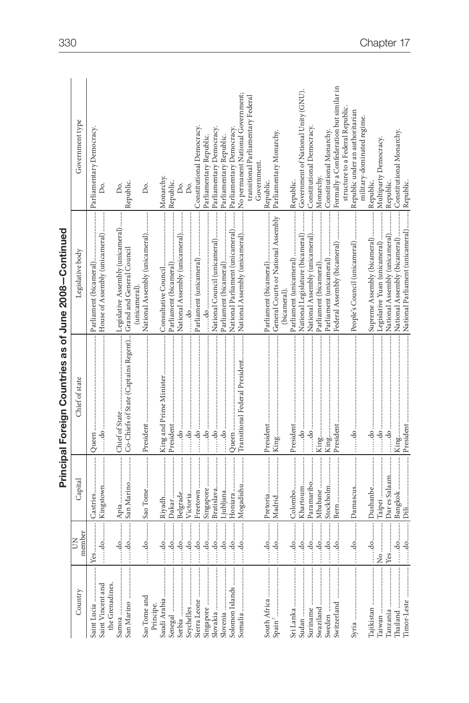|                                     |                                                                              |               | Principal Foreign Countries as of June 2008-Continued |                                                 |                                                                       |
|-------------------------------------|------------------------------------------------------------------------------|---------------|-------------------------------------------------------|-------------------------------------------------|-----------------------------------------------------------------------|
| Country                             | member<br>Š                                                                  | Capital       | Chief of state                                        | Legislative body                                | Government type                                                       |
| Saint Lucia                         |                                                                              |               |                                                       |                                                 | Parliamentary Democracy.                                              |
| Saint Vincent and<br>the Grenadines |                                                                              |               |                                                       |                                                 | Δ.                                                                    |
| San Marino<br>Samoa                 | $\begin{array}{c} \begin{array}{c} \begin{array}{c} \end{array} \end{array}$ |               |                                                       |                                                 | Republic.<br>Ďо.                                                      |
| Sao Tome and                        | $\cdots$ do $\cdots$                                                         | Sao Tome      |                                                       | National Assembly (unicameral)<br>(unicameral). | Δó.                                                                   |
| Principe.                           |                                                                              |               |                                                       |                                                 |                                                                       |
| Saudi Arabia                        | do                                                                           |               |                                                       |                                                 | Monarchy                                                              |
|                                     | $\dots$ . do $\dots\dots$                                                    |               |                                                       |                                                 | Republic.                                                             |
| Serbia                              | $\ldots$ do $\ldots$                                                         |               |                                                       | National Assembly (unicameral)                  | Dο.                                                                   |
| Seychelles                          |                                                                              |               |                                                       |                                                 | Do.                                                                   |
| Sierra Leone                        |                                                                              | do Freetown   |                                                       |                                                 | Constitutional Democracy.                                             |
|                                     | $\vdots$                                                                     | Singapore     |                                                       |                                                 | Parliamentary Republic.                                               |
|                                     | do                                                                           |               |                                                       | National Council (unicameral)                   | Parliamentary Democracy.                                              |
| Slovenia                            | $\dots$ do $\dots$                                                           | Ljubljana     |                                                       |                                                 | Parliamentary Republic.                                               |
| Solomon Islands                     | $\dots d$ o $\dots\dots$                                                     | Honiara       |                                                       | National Parliament (unicameral)                | Parliamentary Democracy                                               |
|                                     | $\dots d$ o $\dots \dots$                                                    | Mogadishu     | Transitional Federal President                        | National Assembly (unicameral)                  | No permanent National Government;                                     |
|                                     |                                                                              |               |                                                       |                                                 | transitional Parliamentary Federal                                    |
|                                     |                                                                              |               |                                                       |                                                 | Government                                                            |
| South Africa                        |                                                                              |               |                                                       |                                                 | Republic.                                                             |
|                                     |                                                                              |               |                                                       |                                                 | Parliamentary Monarchy.                                               |
|                                     |                                                                              |               |                                                       | (bicameral)                                     |                                                                       |
|                                     |                                                                              |               |                                                       |                                                 | Republic.                                                             |
| Sudan                               | $\dots$ do $\dots$                                                           | Khartoum      | $\dots\cdots\cdots\cdots\cdots\cdots$                 | National Legislature (bicameral)                | Government of National Unity (GNU).                                   |
| Suriname                            |                                                                              |               | $\dots$ .do                                           | National Assembly (unicameral)                  | Constitutional Democracy.                                             |
|                                     |                                                                              |               |                                                       |                                                 | Monarchy.                                                             |
| Sweden                              |                                                                              | Stockholm     |                                                       |                                                 | Constitutional Monarchy                                               |
| Switzerland                         |                                                                              |               |                                                       |                                                 | Federal Assembly (bicameral)  Formally a Confederation but similar in |
|                                     |                                                                              |               |                                                       |                                                 | structure to a Federal Republic.                                      |
|                                     |                                                                              |               |                                                       | People's Council (unicameral)                   | Republic under an authoritarian                                       |
|                                     |                                                                              |               |                                                       |                                                 | military-dominated regime.                                            |
| Tajikistan                          |                                                                              |               |                                                       | Supreme Assembly (bicameral)                    | Republic.                                                             |
| Taiwan                              |                                                                              |               |                                                       | Legislative Yuan (unicameral)                   | Multiparty Democracy.                                                 |
|                                     |                                                                              | Dar es Salaam |                                                       | National Assembly (unicameral)                  | Republic.                                                             |
| Thailand                            |                                                                              | do Bangkok    | King                                                  | National Assembly (bicameral)                   | Constitutional Monarchy.                                              |
|                                     |                                                                              |               |                                                       | National Parliament (unicameral) Republic.      |                                                                       |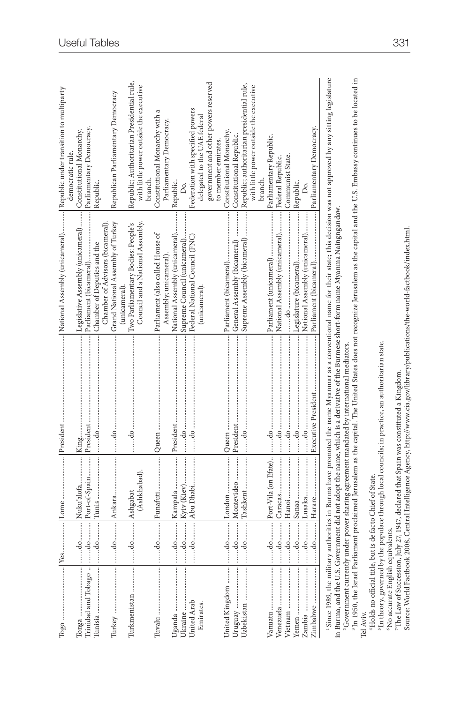| $\begin{tabular}{ c c } \hline \textbf{Top} & \textbf{ad} & \textbf{com} & \textbf{com} \\ \hline \end{tabular}$ |                                            |                                     |                                                                                                                                                                                                                          | National Assembly (unicameral) Republic under transition to multiparty                                                              |                                                                                                                                                                                                |
|------------------------------------------------------------------------------------------------------------------|--------------------------------------------|-------------------------------------|--------------------------------------------------------------------------------------------------------------------------------------------------------------------------------------------------------------------------|-------------------------------------------------------------------------------------------------------------------------------------|------------------------------------------------------------------------------------------------------------------------------------------------------------------------------------------------|
|                                                                                                                  |                                            |                                     | King                                                                                                                                                                                                                     | Legislative Assembly (unicameral)                                                                                                   | Constitutional Monarchy.<br>democratic rule.                                                                                                                                                   |
| Trinidad and Tobago                                                                                              | $\dots\ldots\mathrm{do}\ldots\ldots\ldots$ | Port-of-Spain President             |                                                                                                                                                                                                                          | Parliament (bicameral)                                                                                                              | Parliamentary Democracy.                                                                                                                                                                       |
| Tunisia                                                                                                          | $\dots$ do $\dots$                         |                                     | $\dots$ .do $\dots$                                                                                                                                                                                                      | Chamber of Deputies and the                                                                                                         | Republic.                                                                                                                                                                                      |
|                                                                                                                  |                                            |                                     |                                                                                                                                                                                                                          | Grand National Assembly of Turkey<br>Chamber of Advisors (bicameral)                                                                | Republican Parliamentary Democracy                                                                                                                                                             |
|                                                                                                                  |                                            |                                     |                                                                                                                                                                                                                          | (unicameral).                                                                                                                       |                                                                                                                                                                                                |
|                                                                                                                  |                                            | (Ashkhabad).                        |                                                                                                                                                                                                                          | Two Parliamentary Bodies: People's<br>Council and a National Assembly                                                               | Republic; Authoritarian Presidential rule,<br>with little power outside the executive<br>branch.                                                                                               |
|                                                                                                                  | $\dots d$ o $\dots \dots$                  |                                     |                                                                                                                                                                                                                          | Parliament (also called House of                                                                                                    | Constitutional Monarchy with a                                                                                                                                                                 |
|                                                                                                                  |                                            |                                     |                                                                                                                                                                                                                          | Assembly; unicameral).                                                                                                              | Parliamentary Democracy.                                                                                                                                                                       |
| Ukraine<br>Uganda                                                                                                |                                            | $\overline{\phantom{a}}$<br>Kampala | President                                                                                                                                                                                                                | National Assembly (unicameral)<br>Supreme Council (unicameral)                                                                      | Republic.                                                                                                                                                                                      |
| United Arab                                                                                                      |                                            |                                     |                                                                                                                                                                                                                          | Federal National Council (FNC)                                                                                                      | Federation with specified powers                                                                                                                                                               |
| Emirates.                                                                                                        |                                            |                                     |                                                                                                                                                                                                                          | unicameral)                                                                                                                         | delegated to the UAE federal                                                                                                                                                                   |
|                                                                                                                  |                                            |                                     |                                                                                                                                                                                                                          |                                                                                                                                     | government and other powers reserved<br>to member emirates.                                                                                                                                    |
| United Kingdom                                                                                                   |                                            |                                     | Queen                                                                                                                                                                                                                    | Parliament (bicameral)                                                                                                              | Constitutional Monarchy.                                                                                                                                                                       |
|                                                                                                                  |                                            | do Montevideo                       |                                                                                                                                                                                                                          |                                                                                                                                     | Constitutional Republic.                                                                                                                                                                       |
|                                                                                                                  |                                            |                                     |                                                                                                                                                                                                                          |                                                                                                                                     | Republic; authoritarian presidential rule,                                                                                                                                                     |
|                                                                                                                  |                                            |                                     |                                                                                                                                                                                                                          |                                                                                                                                     | with little power outside the executive<br>branch.                                                                                                                                             |
|                                                                                                                  |                                            |                                     |                                                                                                                                                                                                                          |                                                                                                                                     | Parliamentary Republic.                                                                                                                                                                        |
|                                                                                                                  | $\cdots$ do $\cdots$                       |                                     |                                                                                                                                                                                                                          | National Assembly (unicameral)                                                                                                      | Federal Republic.                                                                                                                                                                              |
|                                                                                                                  |                                            |                                     |                                                                                                                                                                                                                          |                                                                                                                                     | Communist State.                                                                                                                                                                               |
|                                                                                                                  |                                            |                                     |                                                                                                                                                                                                                          |                                                                                                                                     | Republic.                                                                                                                                                                                      |
|                                                                                                                  |                                            |                                     |                                                                                                                                                                                                                          | National Assembly (unicameral)                                                                                                      |                                                                                                                                                                                                |
|                                                                                                                  |                                            |                                     |                                                                                                                                                                                                                          |                                                                                                                                     |                                                                                                                                                                                                |
|                                                                                                                  |                                            |                                     |                                                                                                                                                                                                                          | in Burma, and the U.S. Government did not adopt the name, which is a derivative of the Burmese short-form name Myanma Naingngandaw. | 'Since 1989, the military authorities in Burma have promoted the name Myanmar as a conventional name for their state; this decision was not approved by any sitting legislature                |
|                                                                                                                  |                                            |                                     | <sup>2</sup> Government currently under power sharing agreement mandated by international mediators.                                                                                                                     |                                                                                                                                     | <sup>3</sup> In 1950, the Israel Parliament proclaimed Jerusalem as the capital. The United States does not recognize Jerusalem as the capital and the U.S. Embassy continues to be located in |
| <sup>4</sup> Holds no official title, but is de facto Chief of State.<br>Tel Aviv.                               |                                            |                                     |                                                                                                                                                                                                                          |                                                                                                                                     |                                                                                                                                                                                                |
|                                                                                                                  |                                            |                                     | In theory, governed by the populace through local councils; in practice, an authoritarian state.                                                                                                                         |                                                                                                                                     |                                                                                                                                                                                                |
| No accurate English equivalents.                                                                                 |                                            |                                     |                                                                                                                                                                                                                          |                                                                                                                                     |                                                                                                                                                                                                |
|                                                                                                                  |                                            |                                     | Source: World Factbook 2008, Central Intelligence Agency, http://www.cia.gov/library/publications/the-world-factbook/index.html.<br>The Law of Succession, July 27, 1947, declared that Spain was constituted a Kingdom. |                                                                                                                                     |                                                                                                                                                                                                |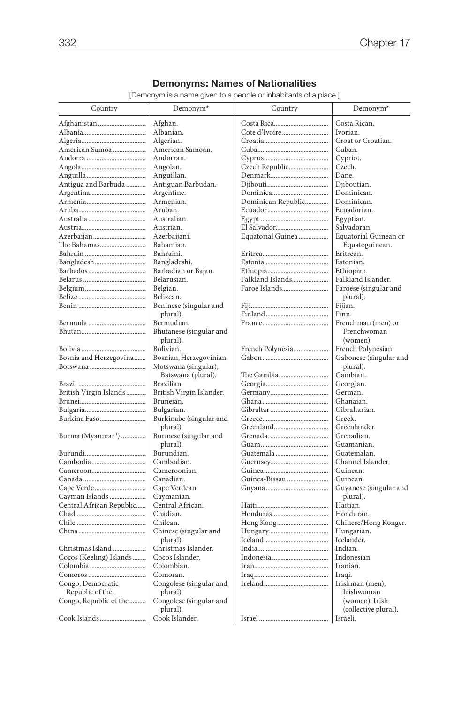# **Demonyms: Names of Nationalities**

[Demonym is a name given to a people or inhabitants of a place.]

| Costa Rican.<br>Afghanistan<br>Afghan.<br>Albanian.<br>Ivorian.<br>Croat or Croatian.<br>Algerian.<br>American Samoan.<br>Cuban.<br>American Samoa<br>Andorran.<br>Cypriot.<br>Angolan.<br>Czech Republic<br>Czech.<br>Anguillan.<br>Dane.<br>Antigua and Barbuda<br>Antiguan Barbudan.<br>Djiboutian.<br>Dominican.<br>Argentine.<br>Armenian.<br>Dominican Republic<br>Dominican.<br>Aruban.<br>Ecuadorian.<br>Australian.<br>Egyptian.<br>Austrian.<br>El Salvador<br>Salvadoran.<br>Azerbaijan<br>Azerbaijani.<br>Equatorial Guinea<br>Equatorial Guinean or<br>Bahamian.<br>The Bahamas<br>Equatoguinean.<br>Eritrean.<br>Bahraini.<br>Bangladeshi.<br>Estonian.<br>Barbadian or Bajan.<br>Ethiopian.<br>Belarusian.<br>Falkland Islands<br>Falkland Islander.<br>Faroe Islands<br>Faroese (singular and<br>Belgian.<br>Belizean.<br>plural).<br>Beninese (singular and<br>Fijian.<br>plural).<br>Finn.<br>Bermudian.<br>Frenchman (men) or<br>Bhutanese (singular and<br>Frenchwoman<br>plural).<br>(women).<br>Bolivian.<br>French Polynesian.<br>French Polynesia<br>Bosnia and Herzegovina<br>Bosnian, Herzegovinian.<br>Gabonese (singular and<br>Motswana (singular),<br>plural).<br>Gambian.<br>Batswana (plural).<br>The Gambia<br>Brazilian.<br>Georgian.<br>British Virgin Islands<br>British Virgin Islander.<br>German.<br>Ghanaian.<br>Bruneian.<br>Gibraltarian.<br>Bulgarian.<br>Greek.<br>Burkina Faso<br>Burkinabe (singular and<br>Greenlander.<br>plural).<br>Burma (Myanmar <sup>1</sup> )<br>Burmese (singular and<br>Grenadian.<br>plural).<br>Guamanian.<br>Burundian.<br>Guatemalan.<br>Cambodian.<br>Channel Islander.<br>Cameroonian.<br>Guinean.<br>Canadian.<br>Guinea-Bissau<br>Guinean.<br>Cape Verdean.<br>Guyanese (singular and<br>Caymanian.<br>Cayman Islands<br>plural).<br>Haitian.<br>Central African Republic<br>Central African.<br>Chadian.<br>Honduran.<br>Chilean.<br>Chinese/Hong Konger.<br>Chinese (singular and<br>Hungarian.<br>Icelander.<br>plural).<br>Christmas Islander.<br>Indian.<br>Christmas Island<br>Cocos Islander.<br>Indonesian.<br>Cocos (Keeling) Islands<br>Colombian.<br>Iranian.<br>Comoran.<br>Iraqi.<br>Congo, Democratic<br>Congolese (singular and<br>Irishman (men),<br>Republic of the.<br>plural).<br>Irishwoman<br>Congolese (singular and<br>Congo, Republic of the<br>(women), Irish<br>(collective plural).<br>plural).<br>Cook Islander.<br>Cook Islands | Country | Demonym <sup>*</sup> | Country | Demonym <sup>*</sup> |
|----------------------------------------------------------------------------------------------------------------------------------------------------------------------------------------------------------------------------------------------------------------------------------------------------------------------------------------------------------------------------------------------------------------------------------------------------------------------------------------------------------------------------------------------------------------------------------------------------------------------------------------------------------------------------------------------------------------------------------------------------------------------------------------------------------------------------------------------------------------------------------------------------------------------------------------------------------------------------------------------------------------------------------------------------------------------------------------------------------------------------------------------------------------------------------------------------------------------------------------------------------------------------------------------------------------------------------------------------------------------------------------------------------------------------------------------------------------------------------------------------------------------------------------------------------------------------------------------------------------------------------------------------------------------------------------------------------------------------------------------------------------------------------------------------------------------------------------------------------------------------------------------------------------------------------------------------------------------------------------------------------------------------------------------------------------------------------------------------------------------------------------------------------------------------------------------------------------------------------------------------------------------------------------------------------------------------------------------------------------------------------------------------------------------------------------------|---------|----------------------|---------|----------------------|
|                                                                                                                                                                                                                                                                                                                                                                                                                                                                                                                                                                                                                                                                                                                                                                                                                                                                                                                                                                                                                                                                                                                                                                                                                                                                                                                                                                                                                                                                                                                                                                                                                                                                                                                                                                                                                                                                                                                                                                                                                                                                                                                                                                                                                                                                                                                                                                                                                                              |         |                      |         |                      |
|                                                                                                                                                                                                                                                                                                                                                                                                                                                                                                                                                                                                                                                                                                                                                                                                                                                                                                                                                                                                                                                                                                                                                                                                                                                                                                                                                                                                                                                                                                                                                                                                                                                                                                                                                                                                                                                                                                                                                                                                                                                                                                                                                                                                                                                                                                                                                                                                                                              |         |                      |         |                      |
|                                                                                                                                                                                                                                                                                                                                                                                                                                                                                                                                                                                                                                                                                                                                                                                                                                                                                                                                                                                                                                                                                                                                                                                                                                                                                                                                                                                                                                                                                                                                                                                                                                                                                                                                                                                                                                                                                                                                                                                                                                                                                                                                                                                                                                                                                                                                                                                                                                              |         |                      |         |                      |
|                                                                                                                                                                                                                                                                                                                                                                                                                                                                                                                                                                                                                                                                                                                                                                                                                                                                                                                                                                                                                                                                                                                                                                                                                                                                                                                                                                                                                                                                                                                                                                                                                                                                                                                                                                                                                                                                                                                                                                                                                                                                                                                                                                                                                                                                                                                                                                                                                                              |         |                      |         |                      |
|                                                                                                                                                                                                                                                                                                                                                                                                                                                                                                                                                                                                                                                                                                                                                                                                                                                                                                                                                                                                                                                                                                                                                                                                                                                                                                                                                                                                                                                                                                                                                                                                                                                                                                                                                                                                                                                                                                                                                                                                                                                                                                                                                                                                                                                                                                                                                                                                                                              |         |                      |         |                      |
|                                                                                                                                                                                                                                                                                                                                                                                                                                                                                                                                                                                                                                                                                                                                                                                                                                                                                                                                                                                                                                                                                                                                                                                                                                                                                                                                                                                                                                                                                                                                                                                                                                                                                                                                                                                                                                                                                                                                                                                                                                                                                                                                                                                                                                                                                                                                                                                                                                              |         |                      |         |                      |
|                                                                                                                                                                                                                                                                                                                                                                                                                                                                                                                                                                                                                                                                                                                                                                                                                                                                                                                                                                                                                                                                                                                                                                                                                                                                                                                                                                                                                                                                                                                                                                                                                                                                                                                                                                                                                                                                                                                                                                                                                                                                                                                                                                                                                                                                                                                                                                                                                                              |         |                      |         |                      |
|                                                                                                                                                                                                                                                                                                                                                                                                                                                                                                                                                                                                                                                                                                                                                                                                                                                                                                                                                                                                                                                                                                                                                                                                                                                                                                                                                                                                                                                                                                                                                                                                                                                                                                                                                                                                                                                                                                                                                                                                                                                                                                                                                                                                                                                                                                                                                                                                                                              |         |                      |         |                      |
|                                                                                                                                                                                                                                                                                                                                                                                                                                                                                                                                                                                                                                                                                                                                                                                                                                                                                                                                                                                                                                                                                                                                                                                                                                                                                                                                                                                                                                                                                                                                                                                                                                                                                                                                                                                                                                                                                                                                                                                                                                                                                                                                                                                                                                                                                                                                                                                                                                              |         |                      |         |                      |
|                                                                                                                                                                                                                                                                                                                                                                                                                                                                                                                                                                                                                                                                                                                                                                                                                                                                                                                                                                                                                                                                                                                                                                                                                                                                                                                                                                                                                                                                                                                                                                                                                                                                                                                                                                                                                                                                                                                                                                                                                                                                                                                                                                                                                                                                                                                                                                                                                                              |         |                      |         |                      |
|                                                                                                                                                                                                                                                                                                                                                                                                                                                                                                                                                                                                                                                                                                                                                                                                                                                                                                                                                                                                                                                                                                                                                                                                                                                                                                                                                                                                                                                                                                                                                                                                                                                                                                                                                                                                                                                                                                                                                                                                                                                                                                                                                                                                                                                                                                                                                                                                                                              |         |                      |         |                      |
|                                                                                                                                                                                                                                                                                                                                                                                                                                                                                                                                                                                                                                                                                                                                                                                                                                                                                                                                                                                                                                                                                                                                                                                                                                                                                                                                                                                                                                                                                                                                                                                                                                                                                                                                                                                                                                                                                                                                                                                                                                                                                                                                                                                                                                                                                                                                                                                                                                              |         |                      |         |                      |
|                                                                                                                                                                                                                                                                                                                                                                                                                                                                                                                                                                                                                                                                                                                                                                                                                                                                                                                                                                                                                                                                                                                                                                                                                                                                                                                                                                                                                                                                                                                                                                                                                                                                                                                                                                                                                                                                                                                                                                                                                                                                                                                                                                                                                                                                                                                                                                                                                                              |         |                      |         |                      |
|                                                                                                                                                                                                                                                                                                                                                                                                                                                                                                                                                                                                                                                                                                                                                                                                                                                                                                                                                                                                                                                                                                                                                                                                                                                                                                                                                                                                                                                                                                                                                                                                                                                                                                                                                                                                                                                                                                                                                                                                                                                                                                                                                                                                                                                                                                                                                                                                                                              |         |                      |         |                      |
|                                                                                                                                                                                                                                                                                                                                                                                                                                                                                                                                                                                                                                                                                                                                                                                                                                                                                                                                                                                                                                                                                                                                                                                                                                                                                                                                                                                                                                                                                                                                                                                                                                                                                                                                                                                                                                                                                                                                                                                                                                                                                                                                                                                                                                                                                                                                                                                                                                              |         |                      |         |                      |
|                                                                                                                                                                                                                                                                                                                                                                                                                                                                                                                                                                                                                                                                                                                                                                                                                                                                                                                                                                                                                                                                                                                                                                                                                                                                                                                                                                                                                                                                                                                                                                                                                                                                                                                                                                                                                                                                                                                                                                                                                                                                                                                                                                                                                                                                                                                                                                                                                                              |         |                      |         |                      |
|                                                                                                                                                                                                                                                                                                                                                                                                                                                                                                                                                                                                                                                                                                                                                                                                                                                                                                                                                                                                                                                                                                                                                                                                                                                                                                                                                                                                                                                                                                                                                                                                                                                                                                                                                                                                                                                                                                                                                                                                                                                                                                                                                                                                                                                                                                                                                                                                                                              |         |                      |         |                      |
|                                                                                                                                                                                                                                                                                                                                                                                                                                                                                                                                                                                                                                                                                                                                                                                                                                                                                                                                                                                                                                                                                                                                                                                                                                                                                                                                                                                                                                                                                                                                                                                                                                                                                                                                                                                                                                                                                                                                                                                                                                                                                                                                                                                                                                                                                                                                                                                                                                              |         |                      |         |                      |
|                                                                                                                                                                                                                                                                                                                                                                                                                                                                                                                                                                                                                                                                                                                                                                                                                                                                                                                                                                                                                                                                                                                                                                                                                                                                                                                                                                                                                                                                                                                                                                                                                                                                                                                                                                                                                                                                                                                                                                                                                                                                                                                                                                                                                                                                                                                                                                                                                                              |         |                      |         |                      |
|                                                                                                                                                                                                                                                                                                                                                                                                                                                                                                                                                                                                                                                                                                                                                                                                                                                                                                                                                                                                                                                                                                                                                                                                                                                                                                                                                                                                                                                                                                                                                                                                                                                                                                                                                                                                                                                                                                                                                                                                                                                                                                                                                                                                                                                                                                                                                                                                                                              |         |                      |         |                      |
|                                                                                                                                                                                                                                                                                                                                                                                                                                                                                                                                                                                                                                                                                                                                                                                                                                                                                                                                                                                                                                                                                                                                                                                                                                                                                                                                                                                                                                                                                                                                                                                                                                                                                                                                                                                                                                                                                                                                                                                                                                                                                                                                                                                                                                                                                                                                                                                                                                              |         |                      |         |                      |
|                                                                                                                                                                                                                                                                                                                                                                                                                                                                                                                                                                                                                                                                                                                                                                                                                                                                                                                                                                                                                                                                                                                                                                                                                                                                                                                                                                                                                                                                                                                                                                                                                                                                                                                                                                                                                                                                                                                                                                                                                                                                                                                                                                                                                                                                                                                                                                                                                                              |         |                      |         |                      |
|                                                                                                                                                                                                                                                                                                                                                                                                                                                                                                                                                                                                                                                                                                                                                                                                                                                                                                                                                                                                                                                                                                                                                                                                                                                                                                                                                                                                                                                                                                                                                                                                                                                                                                                                                                                                                                                                                                                                                                                                                                                                                                                                                                                                                                                                                                                                                                                                                                              |         |                      |         |                      |
|                                                                                                                                                                                                                                                                                                                                                                                                                                                                                                                                                                                                                                                                                                                                                                                                                                                                                                                                                                                                                                                                                                                                                                                                                                                                                                                                                                                                                                                                                                                                                                                                                                                                                                                                                                                                                                                                                                                                                                                                                                                                                                                                                                                                                                                                                                                                                                                                                                              |         |                      |         |                      |
|                                                                                                                                                                                                                                                                                                                                                                                                                                                                                                                                                                                                                                                                                                                                                                                                                                                                                                                                                                                                                                                                                                                                                                                                                                                                                                                                                                                                                                                                                                                                                                                                                                                                                                                                                                                                                                                                                                                                                                                                                                                                                                                                                                                                                                                                                                                                                                                                                                              |         |                      |         |                      |
|                                                                                                                                                                                                                                                                                                                                                                                                                                                                                                                                                                                                                                                                                                                                                                                                                                                                                                                                                                                                                                                                                                                                                                                                                                                                                                                                                                                                                                                                                                                                                                                                                                                                                                                                                                                                                                                                                                                                                                                                                                                                                                                                                                                                                                                                                                                                                                                                                                              |         |                      |         |                      |
|                                                                                                                                                                                                                                                                                                                                                                                                                                                                                                                                                                                                                                                                                                                                                                                                                                                                                                                                                                                                                                                                                                                                                                                                                                                                                                                                                                                                                                                                                                                                                                                                                                                                                                                                                                                                                                                                                                                                                                                                                                                                                                                                                                                                                                                                                                                                                                                                                                              |         |                      |         |                      |
|                                                                                                                                                                                                                                                                                                                                                                                                                                                                                                                                                                                                                                                                                                                                                                                                                                                                                                                                                                                                                                                                                                                                                                                                                                                                                                                                                                                                                                                                                                                                                                                                                                                                                                                                                                                                                                                                                                                                                                                                                                                                                                                                                                                                                                                                                                                                                                                                                                              |         |                      |         |                      |
|                                                                                                                                                                                                                                                                                                                                                                                                                                                                                                                                                                                                                                                                                                                                                                                                                                                                                                                                                                                                                                                                                                                                                                                                                                                                                                                                                                                                                                                                                                                                                                                                                                                                                                                                                                                                                                                                                                                                                                                                                                                                                                                                                                                                                                                                                                                                                                                                                                              |         |                      |         |                      |
|                                                                                                                                                                                                                                                                                                                                                                                                                                                                                                                                                                                                                                                                                                                                                                                                                                                                                                                                                                                                                                                                                                                                                                                                                                                                                                                                                                                                                                                                                                                                                                                                                                                                                                                                                                                                                                                                                                                                                                                                                                                                                                                                                                                                                                                                                                                                                                                                                                              |         |                      |         |                      |
|                                                                                                                                                                                                                                                                                                                                                                                                                                                                                                                                                                                                                                                                                                                                                                                                                                                                                                                                                                                                                                                                                                                                                                                                                                                                                                                                                                                                                                                                                                                                                                                                                                                                                                                                                                                                                                                                                                                                                                                                                                                                                                                                                                                                                                                                                                                                                                                                                                              |         |                      |         |                      |
|                                                                                                                                                                                                                                                                                                                                                                                                                                                                                                                                                                                                                                                                                                                                                                                                                                                                                                                                                                                                                                                                                                                                                                                                                                                                                                                                                                                                                                                                                                                                                                                                                                                                                                                                                                                                                                                                                                                                                                                                                                                                                                                                                                                                                                                                                                                                                                                                                                              |         |                      |         |                      |
|                                                                                                                                                                                                                                                                                                                                                                                                                                                                                                                                                                                                                                                                                                                                                                                                                                                                                                                                                                                                                                                                                                                                                                                                                                                                                                                                                                                                                                                                                                                                                                                                                                                                                                                                                                                                                                                                                                                                                                                                                                                                                                                                                                                                                                                                                                                                                                                                                                              |         |                      |         |                      |
|                                                                                                                                                                                                                                                                                                                                                                                                                                                                                                                                                                                                                                                                                                                                                                                                                                                                                                                                                                                                                                                                                                                                                                                                                                                                                                                                                                                                                                                                                                                                                                                                                                                                                                                                                                                                                                                                                                                                                                                                                                                                                                                                                                                                                                                                                                                                                                                                                                              |         |                      |         |                      |
|                                                                                                                                                                                                                                                                                                                                                                                                                                                                                                                                                                                                                                                                                                                                                                                                                                                                                                                                                                                                                                                                                                                                                                                                                                                                                                                                                                                                                                                                                                                                                                                                                                                                                                                                                                                                                                                                                                                                                                                                                                                                                                                                                                                                                                                                                                                                                                                                                                              |         |                      |         |                      |
|                                                                                                                                                                                                                                                                                                                                                                                                                                                                                                                                                                                                                                                                                                                                                                                                                                                                                                                                                                                                                                                                                                                                                                                                                                                                                                                                                                                                                                                                                                                                                                                                                                                                                                                                                                                                                                                                                                                                                                                                                                                                                                                                                                                                                                                                                                                                                                                                                                              |         |                      |         |                      |
|                                                                                                                                                                                                                                                                                                                                                                                                                                                                                                                                                                                                                                                                                                                                                                                                                                                                                                                                                                                                                                                                                                                                                                                                                                                                                                                                                                                                                                                                                                                                                                                                                                                                                                                                                                                                                                                                                                                                                                                                                                                                                                                                                                                                                                                                                                                                                                                                                                              |         |                      |         |                      |
|                                                                                                                                                                                                                                                                                                                                                                                                                                                                                                                                                                                                                                                                                                                                                                                                                                                                                                                                                                                                                                                                                                                                                                                                                                                                                                                                                                                                                                                                                                                                                                                                                                                                                                                                                                                                                                                                                                                                                                                                                                                                                                                                                                                                                                                                                                                                                                                                                                              |         |                      |         |                      |
|                                                                                                                                                                                                                                                                                                                                                                                                                                                                                                                                                                                                                                                                                                                                                                                                                                                                                                                                                                                                                                                                                                                                                                                                                                                                                                                                                                                                                                                                                                                                                                                                                                                                                                                                                                                                                                                                                                                                                                                                                                                                                                                                                                                                                                                                                                                                                                                                                                              |         |                      |         |                      |
|                                                                                                                                                                                                                                                                                                                                                                                                                                                                                                                                                                                                                                                                                                                                                                                                                                                                                                                                                                                                                                                                                                                                                                                                                                                                                                                                                                                                                                                                                                                                                                                                                                                                                                                                                                                                                                                                                                                                                                                                                                                                                                                                                                                                                                                                                                                                                                                                                                              |         |                      |         |                      |
|                                                                                                                                                                                                                                                                                                                                                                                                                                                                                                                                                                                                                                                                                                                                                                                                                                                                                                                                                                                                                                                                                                                                                                                                                                                                                                                                                                                                                                                                                                                                                                                                                                                                                                                                                                                                                                                                                                                                                                                                                                                                                                                                                                                                                                                                                                                                                                                                                                              |         |                      |         |                      |
|                                                                                                                                                                                                                                                                                                                                                                                                                                                                                                                                                                                                                                                                                                                                                                                                                                                                                                                                                                                                                                                                                                                                                                                                                                                                                                                                                                                                                                                                                                                                                                                                                                                                                                                                                                                                                                                                                                                                                                                                                                                                                                                                                                                                                                                                                                                                                                                                                                              |         |                      |         |                      |
|                                                                                                                                                                                                                                                                                                                                                                                                                                                                                                                                                                                                                                                                                                                                                                                                                                                                                                                                                                                                                                                                                                                                                                                                                                                                                                                                                                                                                                                                                                                                                                                                                                                                                                                                                                                                                                                                                                                                                                                                                                                                                                                                                                                                                                                                                                                                                                                                                                              |         |                      |         |                      |
|                                                                                                                                                                                                                                                                                                                                                                                                                                                                                                                                                                                                                                                                                                                                                                                                                                                                                                                                                                                                                                                                                                                                                                                                                                                                                                                                                                                                                                                                                                                                                                                                                                                                                                                                                                                                                                                                                                                                                                                                                                                                                                                                                                                                                                                                                                                                                                                                                                              |         |                      |         |                      |
|                                                                                                                                                                                                                                                                                                                                                                                                                                                                                                                                                                                                                                                                                                                                                                                                                                                                                                                                                                                                                                                                                                                                                                                                                                                                                                                                                                                                                                                                                                                                                                                                                                                                                                                                                                                                                                                                                                                                                                                                                                                                                                                                                                                                                                                                                                                                                                                                                                              |         |                      |         |                      |
|                                                                                                                                                                                                                                                                                                                                                                                                                                                                                                                                                                                                                                                                                                                                                                                                                                                                                                                                                                                                                                                                                                                                                                                                                                                                                                                                                                                                                                                                                                                                                                                                                                                                                                                                                                                                                                                                                                                                                                                                                                                                                                                                                                                                                                                                                                                                                                                                                                              |         |                      |         |                      |
|                                                                                                                                                                                                                                                                                                                                                                                                                                                                                                                                                                                                                                                                                                                                                                                                                                                                                                                                                                                                                                                                                                                                                                                                                                                                                                                                                                                                                                                                                                                                                                                                                                                                                                                                                                                                                                                                                                                                                                                                                                                                                                                                                                                                                                                                                                                                                                                                                                              |         |                      |         |                      |
|                                                                                                                                                                                                                                                                                                                                                                                                                                                                                                                                                                                                                                                                                                                                                                                                                                                                                                                                                                                                                                                                                                                                                                                                                                                                                                                                                                                                                                                                                                                                                                                                                                                                                                                                                                                                                                                                                                                                                                                                                                                                                                                                                                                                                                                                                                                                                                                                                                              |         |                      |         |                      |
|                                                                                                                                                                                                                                                                                                                                                                                                                                                                                                                                                                                                                                                                                                                                                                                                                                                                                                                                                                                                                                                                                                                                                                                                                                                                                                                                                                                                                                                                                                                                                                                                                                                                                                                                                                                                                                                                                                                                                                                                                                                                                                                                                                                                                                                                                                                                                                                                                                              |         |                      |         |                      |
|                                                                                                                                                                                                                                                                                                                                                                                                                                                                                                                                                                                                                                                                                                                                                                                                                                                                                                                                                                                                                                                                                                                                                                                                                                                                                                                                                                                                                                                                                                                                                                                                                                                                                                                                                                                                                                                                                                                                                                                                                                                                                                                                                                                                                                                                                                                                                                                                                                              |         |                      |         |                      |
|                                                                                                                                                                                                                                                                                                                                                                                                                                                                                                                                                                                                                                                                                                                                                                                                                                                                                                                                                                                                                                                                                                                                                                                                                                                                                                                                                                                                                                                                                                                                                                                                                                                                                                                                                                                                                                                                                                                                                                                                                                                                                                                                                                                                                                                                                                                                                                                                                                              |         |                      |         |                      |
|                                                                                                                                                                                                                                                                                                                                                                                                                                                                                                                                                                                                                                                                                                                                                                                                                                                                                                                                                                                                                                                                                                                                                                                                                                                                                                                                                                                                                                                                                                                                                                                                                                                                                                                                                                                                                                                                                                                                                                                                                                                                                                                                                                                                                                                                                                                                                                                                                                              |         |                      |         |                      |
|                                                                                                                                                                                                                                                                                                                                                                                                                                                                                                                                                                                                                                                                                                                                                                                                                                                                                                                                                                                                                                                                                                                                                                                                                                                                                                                                                                                                                                                                                                                                                                                                                                                                                                                                                                                                                                                                                                                                                                                                                                                                                                                                                                                                                                                                                                                                                                                                                                              |         |                      |         |                      |
|                                                                                                                                                                                                                                                                                                                                                                                                                                                                                                                                                                                                                                                                                                                                                                                                                                                                                                                                                                                                                                                                                                                                                                                                                                                                                                                                                                                                                                                                                                                                                                                                                                                                                                                                                                                                                                                                                                                                                                                                                                                                                                                                                                                                                                                                                                                                                                                                                                              |         |                      |         |                      |
|                                                                                                                                                                                                                                                                                                                                                                                                                                                                                                                                                                                                                                                                                                                                                                                                                                                                                                                                                                                                                                                                                                                                                                                                                                                                                                                                                                                                                                                                                                                                                                                                                                                                                                                                                                                                                                                                                                                                                                                                                                                                                                                                                                                                                                                                                                                                                                                                                                              |         |                      |         |                      |
|                                                                                                                                                                                                                                                                                                                                                                                                                                                                                                                                                                                                                                                                                                                                                                                                                                                                                                                                                                                                                                                                                                                                                                                                                                                                                                                                                                                                                                                                                                                                                                                                                                                                                                                                                                                                                                                                                                                                                                                                                                                                                                                                                                                                                                                                                                                                                                                                                                              |         |                      |         |                      |
|                                                                                                                                                                                                                                                                                                                                                                                                                                                                                                                                                                                                                                                                                                                                                                                                                                                                                                                                                                                                                                                                                                                                                                                                                                                                                                                                                                                                                                                                                                                                                                                                                                                                                                                                                                                                                                                                                                                                                                                                                                                                                                                                                                                                                                                                                                                                                                                                                                              |         |                      |         |                      |
|                                                                                                                                                                                                                                                                                                                                                                                                                                                                                                                                                                                                                                                                                                                                                                                                                                                                                                                                                                                                                                                                                                                                                                                                                                                                                                                                                                                                                                                                                                                                                                                                                                                                                                                                                                                                                                                                                                                                                                                                                                                                                                                                                                                                                                                                                                                                                                                                                                              |         |                      |         |                      |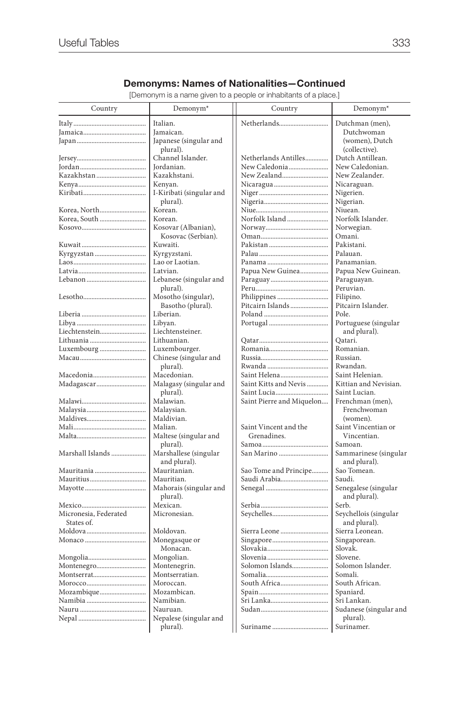# **Demonyms: Names of Nationalities—Continued**

[Demonym is a name given to a people or inhabitants of a place.]

| Country               | Demonym <sup>*</sup>     | Country                   | Demonym <sup>*</sup>   |
|-----------------------|--------------------------|---------------------------|------------------------|
|                       | Italian.                 | Netherlands               | Dutchman (men),        |
|                       | Jamaican.                |                           | Dutchwoman             |
|                       | Japanese (singular and   |                           | (women), Dutch         |
|                       | plural).                 |                           | (collective).          |
|                       | Channel Islander.        | Netherlands Antilles      | Dutch Antillean.       |
|                       | Jordanian.               | New Caledonia             | New Caledonian.        |
| Kazakhstan            | Kazakhstani.             | New Zealand               | New Zealander.         |
|                       | Kenyan.                  |                           | Nicaraguan.            |
|                       | I-Kiribati (singular and |                           | Nigerien.              |
|                       | plural).                 |                           | Nigerian.              |
| Korea, North          | Korean.                  |                           | Niuean.                |
| Korea, South          | Korean.                  | Norfolk Island            | Norfolk Islander.      |
|                       | Kosovar (Albanian),      |                           | Norwegian.             |
|                       | Kosovac (Serbian).       |                           | Omani.                 |
|                       | Kuwaiti.                 |                           | Pakistani.             |
|                       | Kyrgyzstani.             |                           | Palauan.               |
|                       | Lao or Laotian.          |                           | Panamanian.            |
|                       | Latvian.                 | Papua New Guinea          | Papua New Guinean.     |
|                       | Lebanese (singular and   |                           | Paraguayan.            |
|                       | plural).                 |                           | Peruvian.              |
|                       | Mosotho (singular),      | Philippines               | Filipino.              |
|                       | Basotho (plural).        | Pitcairn Islands          | Pitcairn Islander.     |
|                       | Liberian.                |                           | Pole.                  |
|                       | Libyan.                  |                           | Portuguese (singular   |
| Liechtenstein         | Liechtensteiner.         |                           | and plural).           |
|                       | Lithuanian.              |                           | Oatari.                |
|                       | Luxembourger.            |                           | Romanian.              |
|                       | Chinese (singular and    |                           | Russian.               |
|                       | plural).                 |                           | Rwandan.               |
| Macedonia             | Macedonian.              | Saint Helena              | Saint Helenian.        |
|                       | Malagasy (singular and   | Saint Kitts and Nevis     | Kittian and Nevisian.  |
|                       | plural).                 |                           | Saint Lucian.          |
|                       | Malawian.                | Saint Pierre and Miquelon | Frenchman (men),       |
|                       | Malaysian.               |                           | Frenchwoman            |
|                       | Maldivian.               |                           | (women).               |
|                       | Malian.                  | Saint Vincent and the     | Saint Vincentian or    |
|                       | Maltese (singular and    | Grenadines.               | Vincentian.            |
|                       | plural).                 |                           | Samoan.                |
| Marshall Islands      | Marshallese (singular    | San Marino                | Sammarinese (singular  |
|                       | and plural).             |                           | and plural).           |
| Mauritania            | Mauritanian.             | Sao Tome and Principe     | Sao Tomean.            |
|                       | Mauritian.               | Saudi Arabia              | Saudi.                 |
|                       | Mahorais (singular and   |                           | Senegalese (singular   |
|                       | plural).                 |                           | and plural).           |
|                       | Mexican.                 |                           | Serb.                  |
| Micronesia, Federated | Micronesian.             |                           | Seychellois (singular  |
| States of.            |                          |                           | and plural).           |
|                       | Moldovan.                | Sierra Leone              | Sierra Leonean.        |
|                       | Monegasque or            |                           | Singaporean.           |
|                       | Monacan.                 |                           | Slovak.                |
|                       | Mongolian.               |                           | Slovene.               |
| Montenegro            | Montenegrin.             | Solomon Islands           | Solomon Islander.      |
|                       | Montserratian.           |                           | Somali.                |
|                       | Moroccan.                | South Africa              | South African.         |
| Mozambique            | Mozambican.              |                           | Spaniard.              |
|                       | Namibian.                |                           | Sri Lankan.            |
|                       | Nauruan.                 |                           | Sudanese (singular and |
|                       | Nepalese (singular and   |                           | plural).               |
|                       | plural).                 |                           | Surinamer.             |
|                       |                          |                           |                        |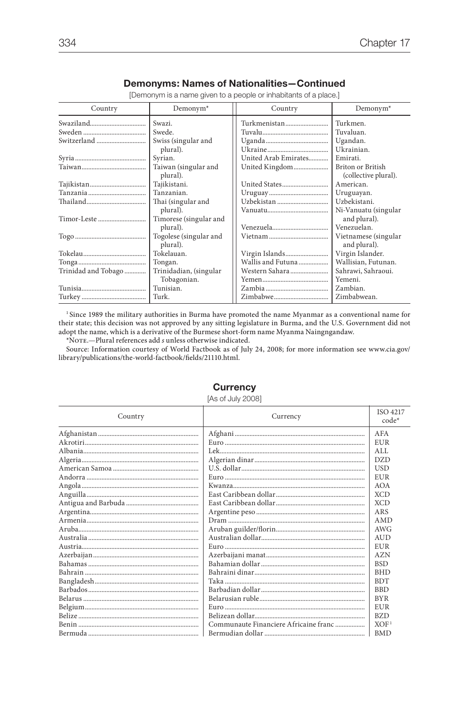#### **Demonyms: Names of Nationalities—Continued**

[Demonym is a name given to a people or inhabitants of a place.]

| Country             | $Demonym*$                       | Country              | $Demonym*$                                |
|---------------------|----------------------------------|----------------------|-------------------------------------------|
|                     | Swazi.                           | Turkmenistan         | Turkmen.                                  |
|                     | Swede.                           |                      | Tuvaluan.                                 |
|                     | Swiss (singular and              |                      | Ugandan.                                  |
|                     | plural).                         |                      | Ukrainian.                                |
|                     | Syrian.                          | United Arab Emirates | Emirati.                                  |
|                     | Taiwan (singular and<br>plural). | United Kingdom       | Briton or British<br>(collective plural). |
|                     | Tajikistani.                     |                      | American.                                 |
|                     | Tanzanian.                       |                      | Uruguayan.                                |
|                     | Thai (singular and               | Uzbekistan           | Uzbekistani.                              |
|                     | plural).                         |                      | Ni-Vanuatu (singular                      |
| Timor-Leste         | Timorese (singular and           |                      | and plural).                              |
|                     | plural).                         |                      | Venezuelan.                               |
|                     | Togolese (singular and           |                      | Vietnamese (singular                      |
|                     | plural).                         |                      | and plural).                              |
|                     | Tokelauan.                       | Virgin Islands       | Virgin Islander.                          |
|                     | Tongan.                          | Wallis and Futuna    | Wallisian, Futunan.                       |
| Trinidad and Tobago | Trinidadian, (singular           | Western Sahara       | Sahrawi, Sahraoui.                        |
|                     | Tobagonian.                      |                      | Yemeni.                                   |
|                     | Tunisian.                        |                      | Zambian.                                  |
|                     | Turk.                            | Zimbabwe             | Zimbabwean.                               |

<sup>1</sup> Since 1989 the military authorities in Burma have promoted the name Myanmar as a conventional name for their state; this decision was not approved by any sitting legislature in Burma, and the U.S. Government did not adopt the name, which is a derivative of the Burmese short-form name Myanma Naingngandaw.

\*Note.—Plural references add *s* unless otherwise indicated.

 Source: Information courtesy of World Factbook as of July 24, 2008; for more information see www.cia.gov/ library/publications/the-world-factbook/fields/21110.html.

| Country | Currency                              | <b>ISO 4217</b><br>$code*$ |
|---------|---------------------------------------|----------------------------|
|         |                                       | AFA                        |
|         |                                       | <b>EUR</b>                 |
|         |                                       | ALI.                       |
|         |                                       | DZD                        |
|         |                                       | <b>USD</b>                 |
|         |                                       | <b>EUR</b>                 |
|         |                                       | <b>AOA</b>                 |
|         |                                       | <b>XCD</b>                 |
|         |                                       | <b>XCD</b>                 |
|         |                                       | ARS                        |
|         |                                       | <b>AMD</b>                 |
|         |                                       | AWG                        |
|         |                                       | <b>AUD</b>                 |
|         |                                       | <b>EUR</b>                 |
|         |                                       | AZN                        |
|         |                                       | <b>BSD</b>                 |
|         |                                       | <b>BHD</b>                 |
|         |                                       | <b>BDT</b>                 |
|         |                                       | <b>BBD</b>                 |
|         |                                       | <b>BYR</b>                 |
|         |                                       | EUR                        |
|         |                                       | BZD                        |
|         | Communaute Financiere Africaine franc | XOF <sup>1</sup>           |
|         |                                       | <b>BMD</b>                 |

#### **Currency**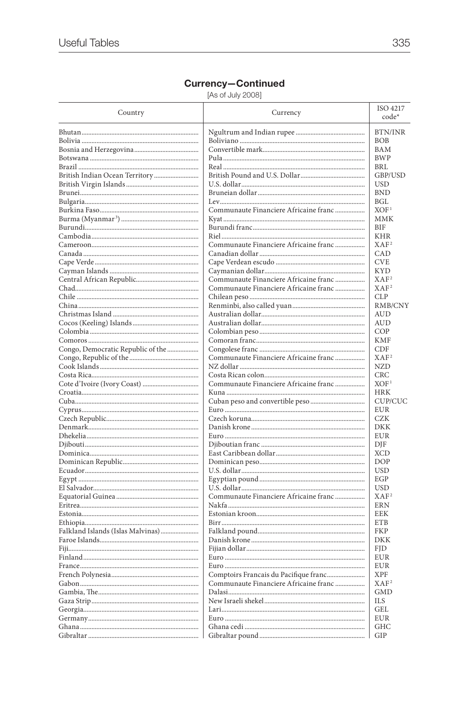| Country                           | Currency                              | ISO 4217<br>code*       |
|-----------------------------------|---------------------------------------|-------------------------|
|                                   |                                       | <b>BTN/INR</b>          |
|                                   |                                       | BOB                     |
|                                   |                                       | BAM                     |
|                                   |                                       | <b>BWP</b>              |
|                                   |                                       | <b>BRL</b>              |
|                                   |                                       | GBP/USD                 |
|                                   |                                       | USD                     |
|                                   |                                       | <b>BND</b>              |
|                                   |                                       | <b>BGL</b>              |
|                                   | Communaute Financiere Africaine franc | XOF <sup>1</sup><br>MMK |
|                                   |                                       | <b>BIF</b>              |
|                                   |                                       | KHR                     |
|                                   | Communaute Financiere Africaine franc | XAF <sup>2</sup>        |
|                                   |                                       | CAD                     |
|                                   |                                       | <b>CVE</b>              |
|                                   |                                       | <b>KYD</b>              |
|                                   | Communaute Financiere Africaine franc | XAF <sup>2</sup>        |
|                                   | Communaute Financiere Africaine franc | XAF <sup>2</sup>        |
|                                   |                                       | <b>CLP</b>              |
|                                   |                                       | RMB/CNY                 |
|                                   |                                       | AUD                     |
|                                   |                                       | <b>AUD</b>              |
|                                   |                                       | COP                     |
|                                   |                                       | <b>KMF</b>              |
| Congo, Democratic Republic of the |                                       | CDF                     |
|                                   | Communaute Financiere Africaine franc | XAF <sup>2</sup>        |
|                                   |                                       | <b>NZD</b>              |
|                                   |                                       | <b>CRC</b>              |
|                                   | Communaute Financiere Africaine franc | XOF <sup>1</sup>        |
|                                   |                                       | <b>HRK</b>              |
|                                   |                                       | CUP/CUC                 |
|                                   |                                       | <b>EUR</b>              |
|                                   |                                       | CZK<br>DKK              |
|                                   |                                       | <b>EUR</b>              |
|                                   |                                       | DJF                     |
|                                   |                                       | <b>XCD</b>              |
|                                   |                                       | <b>DOP</b>              |
|                                   |                                       | <b>USD</b>              |
|                                   |                                       | EGP                     |
|                                   |                                       | <b>USD</b>              |
|                                   | Communaute Financiere Africaine franc | XAF <sup>2</sup>        |
|                                   |                                       | <b>ERN</b>              |
|                                   |                                       | EEK                     |
|                                   |                                       | <b>ETB</b>              |
| Falkland Islands (Islas Malvinas) |                                       | <b>FKP</b>              |
|                                   |                                       | <b>DKK</b>              |
|                                   |                                       | <b>FID</b>              |
|                                   |                                       | EUR                     |
|                                   |                                       | <b>EUR</b>              |
|                                   | Comptoirs Francais du Pacifique franc | <b>XPF</b>              |
|                                   | Communaute Financiere Africaine franc | XAF <sup>2</sup>        |
|                                   |                                       | <b>GMD</b>              |
|                                   |                                       | ILS                     |
|                                   |                                       | GEL                     |
|                                   |                                       | <b>EUR</b>              |
|                                   |                                       | <b>GHC</b>              |
|                                   |                                       | GIP                     |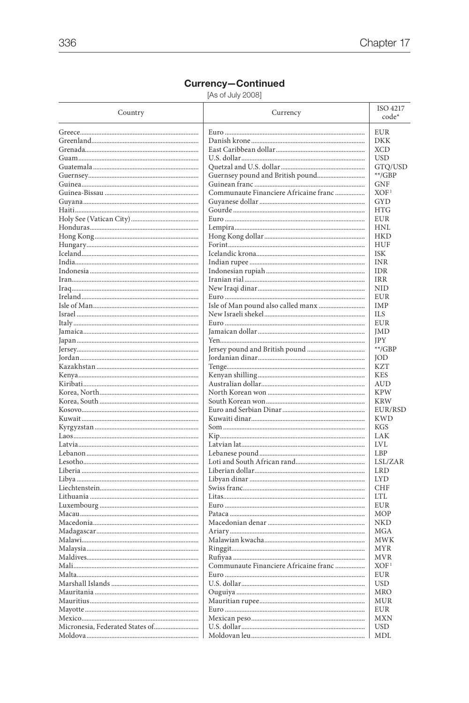| Country                         | Currency                              | ISO 4217<br>code* |
|---------------------------------|---------------------------------------|-------------------|
|                                 |                                       |                   |
|                                 |                                       | <b>EUR</b>        |
|                                 |                                       | <b>DKK</b>        |
|                                 |                                       | <b>XCD</b>        |
|                                 |                                       | <b>USD</b>        |
|                                 |                                       | GTQ/USD           |
|                                 |                                       | $**/GBP$          |
|                                 |                                       | <b>GNF</b>        |
|                                 | Communaute Financiere Africaine franc | XOF <sup>1</sup>  |
|                                 |                                       | GYD               |
|                                 |                                       | <b>HTG</b>        |
|                                 |                                       | <b>EUR</b>        |
|                                 |                                       | <b>HNL</b>        |
|                                 |                                       | <b>HKD</b>        |
|                                 |                                       | HUF               |
|                                 |                                       | <b>ISK</b>        |
|                                 |                                       | INR               |
|                                 |                                       | <b>IDR</b>        |
|                                 |                                       | <b>IRR</b>        |
|                                 |                                       | <b>NID</b>        |
|                                 |                                       | <b>EUR</b>        |
|                                 | Isle of Man pound also called manx    | IMP               |
|                                 |                                       | <b>ILS</b>        |
|                                 |                                       | <b>EUR</b>        |
|                                 |                                       | JMD               |
|                                 |                                       | <b>IPY</b>        |
|                                 |                                       | $**/GBP$          |
|                                 |                                       | <b>JOD</b>        |
|                                 |                                       | <b>KZT</b>        |
|                                 |                                       | <b>KES</b>        |
|                                 |                                       | AUD               |
|                                 |                                       | <b>KPW</b>        |
|                                 |                                       | <b>KRW</b>        |
|                                 |                                       | EUR/RSD           |
|                                 |                                       | <b>KWD</b>        |
|                                 |                                       | <b>KGS</b>        |
|                                 |                                       | LAK               |
|                                 |                                       | <b>LVL</b>        |
|                                 |                                       | LBP               |
|                                 |                                       | LSL/ZAR           |
|                                 |                                       | <b>LRD</b>        |
|                                 |                                       | <b>LYD</b>        |
|                                 |                                       | <b>CHF</b>        |
|                                 |                                       | <b>LTL</b>        |
|                                 |                                       | EUR               |
|                                 |                                       |                   |
|                                 |                                       | MOP               |
|                                 |                                       | NKD               |
|                                 |                                       | <b>MGA</b>        |
|                                 |                                       | <b>MWK</b>        |
|                                 |                                       | MYR               |
|                                 |                                       | <b>MVR</b>        |
|                                 | Communaute Financiere Africaine franc | XOF <sup>1</sup>  |
|                                 |                                       | EUR               |
|                                 |                                       | <b>USD</b>        |
|                                 |                                       | MRO               |
|                                 |                                       | MUR               |
|                                 |                                       | EUR               |
|                                 |                                       | <b>MXN</b>        |
| Micronesia, Federated States of |                                       | <b>USD</b>        |
|                                 |                                       | MDL               |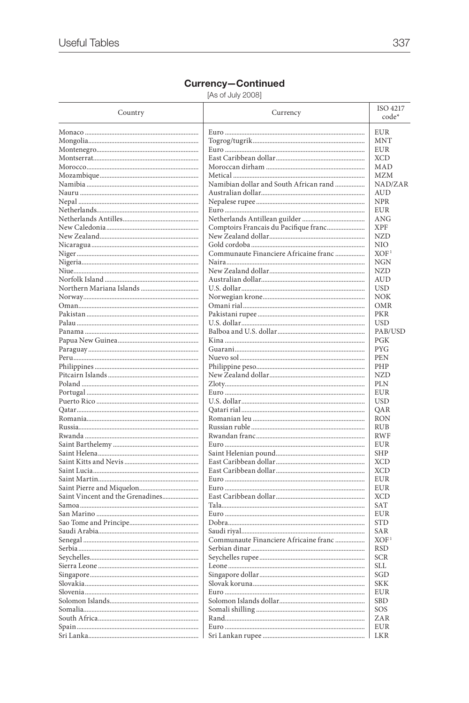| <b>EUR</b><br><b>MNT</b><br>EUR<br><b>XCD</b><br>MAD<br><b>MZM</b><br>Namibian dollar and South African rand<br>NAD/ZAR<br><b>AUD</b><br><b>NPR</b><br><b>EUR</b><br>ANG<br>Comptoirs Francais du Pacifique franc<br><b>XPF</b><br><b>NZD</b><br>NIO<br>Communaute Financiere Africaine franc<br>XOF <sup>1</sup><br><b>NGN</b><br><b>NZD</b><br><b>AUD</b><br><b>USD</b><br><b>NOK</b><br>OMR<br><b>PKR</b><br><b>USD</b><br>PAB/USD<br>PGK<br><b>PYG</b><br>PEN<br>PHP<br><b>NZD</b><br><b>PLN</b><br><b>EUR</b><br><b>USD</b><br>QAR<br><b>RON</b><br><b>RUB</b><br><b>RWF</b><br>EUR<br><b>SHP</b><br><b>XCD</b><br><b>XCD</b><br><b>EUR</b><br>EUR<br>Saint Vincent and the Grenadines<br><b>XCD</b><br><b>SAT</b><br><b>EUR</b><br><b>STD</b><br>SAR<br>XOF <sup>1</sup><br>Communaute Financiere Africaine franc<br><b>RSD</b><br>SCR<br>SLL<br>SGD<br><b>SKK</b><br><b>EUR</b><br><b>SBD</b><br>SOS<br>ZAR<br><b>EUR</b><br><b>LKR</b> | Country | Currency | ISO 4217<br>code* |
|------------------------------------------------------------------------------------------------------------------------------------------------------------------------------------------------------------------------------------------------------------------------------------------------------------------------------------------------------------------------------------------------------------------------------------------------------------------------------------------------------------------------------------------------------------------------------------------------------------------------------------------------------------------------------------------------------------------------------------------------------------------------------------------------------------------------------------------------------------------------------------------------------------------------------------------------|---------|----------|-------------------|
|                                                                                                                                                                                                                                                                                                                                                                                                                                                                                                                                                                                                                                                                                                                                                                                                                                                                                                                                                |         |          |                   |
|                                                                                                                                                                                                                                                                                                                                                                                                                                                                                                                                                                                                                                                                                                                                                                                                                                                                                                                                                |         |          |                   |
|                                                                                                                                                                                                                                                                                                                                                                                                                                                                                                                                                                                                                                                                                                                                                                                                                                                                                                                                                |         |          |                   |
|                                                                                                                                                                                                                                                                                                                                                                                                                                                                                                                                                                                                                                                                                                                                                                                                                                                                                                                                                |         |          |                   |
|                                                                                                                                                                                                                                                                                                                                                                                                                                                                                                                                                                                                                                                                                                                                                                                                                                                                                                                                                |         |          |                   |
|                                                                                                                                                                                                                                                                                                                                                                                                                                                                                                                                                                                                                                                                                                                                                                                                                                                                                                                                                |         |          |                   |
|                                                                                                                                                                                                                                                                                                                                                                                                                                                                                                                                                                                                                                                                                                                                                                                                                                                                                                                                                |         |          |                   |
|                                                                                                                                                                                                                                                                                                                                                                                                                                                                                                                                                                                                                                                                                                                                                                                                                                                                                                                                                |         |          |                   |
|                                                                                                                                                                                                                                                                                                                                                                                                                                                                                                                                                                                                                                                                                                                                                                                                                                                                                                                                                |         |          |                   |
|                                                                                                                                                                                                                                                                                                                                                                                                                                                                                                                                                                                                                                                                                                                                                                                                                                                                                                                                                |         |          |                   |
|                                                                                                                                                                                                                                                                                                                                                                                                                                                                                                                                                                                                                                                                                                                                                                                                                                                                                                                                                |         |          |                   |
|                                                                                                                                                                                                                                                                                                                                                                                                                                                                                                                                                                                                                                                                                                                                                                                                                                                                                                                                                |         |          |                   |
|                                                                                                                                                                                                                                                                                                                                                                                                                                                                                                                                                                                                                                                                                                                                                                                                                                                                                                                                                |         |          |                   |
|                                                                                                                                                                                                                                                                                                                                                                                                                                                                                                                                                                                                                                                                                                                                                                                                                                                                                                                                                |         |          |                   |
|                                                                                                                                                                                                                                                                                                                                                                                                                                                                                                                                                                                                                                                                                                                                                                                                                                                                                                                                                |         |          |                   |
|                                                                                                                                                                                                                                                                                                                                                                                                                                                                                                                                                                                                                                                                                                                                                                                                                                                                                                                                                |         |          |                   |
|                                                                                                                                                                                                                                                                                                                                                                                                                                                                                                                                                                                                                                                                                                                                                                                                                                                                                                                                                |         |          |                   |
|                                                                                                                                                                                                                                                                                                                                                                                                                                                                                                                                                                                                                                                                                                                                                                                                                                                                                                                                                |         |          |                   |
|                                                                                                                                                                                                                                                                                                                                                                                                                                                                                                                                                                                                                                                                                                                                                                                                                                                                                                                                                |         |          |                   |
|                                                                                                                                                                                                                                                                                                                                                                                                                                                                                                                                                                                                                                                                                                                                                                                                                                                                                                                                                |         |          |                   |
|                                                                                                                                                                                                                                                                                                                                                                                                                                                                                                                                                                                                                                                                                                                                                                                                                                                                                                                                                |         |          |                   |
|                                                                                                                                                                                                                                                                                                                                                                                                                                                                                                                                                                                                                                                                                                                                                                                                                                                                                                                                                |         |          |                   |
|                                                                                                                                                                                                                                                                                                                                                                                                                                                                                                                                                                                                                                                                                                                                                                                                                                                                                                                                                |         |          |                   |
|                                                                                                                                                                                                                                                                                                                                                                                                                                                                                                                                                                                                                                                                                                                                                                                                                                                                                                                                                |         |          |                   |
|                                                                                                                                                                                                                                                                                                                                                                                                                                                                                                                                                                                                                                                                                                                                                                                                                                                                                                                                                |         |          |                   |
|                                                                                                                                                                                                                                                                                                                                                                                                                                                                                                                                                                                                                                                                                                                                                                                                                                                                                                                                                |         |          |                   |
|                                                                                                                                                                                                                                                                                                                                                                                                                                                                                                                                                                                                                                                                                                                                                                                                                                                                                                                                                |         |          |                   |
|                                                                                                                                                                                                                                                                                                                                                                                                                                                                                                                                                                                                                                                                                                                                                                                                                                                                                                                                                |         |          |                   |
|                                                                                                                                                                                                                                                                                                                                                                                                                                                                                                                                                                                                                                                                                                                                                                                                                                                                                                                                                |         |          |                   |
|                                                                                                                                                                                                                                                                                                                                                                                                                                                                                                                                                                                                                                                                                                                                                                                                                                                                                                                                                |         |          |                   |
|                                                                                                                                                                                                                                                                                                                                                                                                                                                                                                                                                                                                                                                                                                                                                                                                                                                                                                                                                |         |          |                   |
|                                                                                                                                                                                                                                                                                                                                                                                                                                                                                                                                                                                                                                                                                                                                                                                                                                                                                                                                                |         |          |                   |
|                                                                                                                                                                                                                                                                                                                                                                                                                                                                                                                                                                                                                                                                                                                                                                                                                                                                                                                                                |         |          |                   |
|                                                                                                                                                                                                                                                                                                                                                                                                                                                                                                                                                                                                                                                                                                                                                                                                                                                                                                                                                |         |          |                   |
|                                                                                                                                                                                                                                                                                                                                                                                                                                                                                                                                                                                                                                                                                                                                                                                                                                                                                                                                                |         |          |                   |
|                                                                                                                                                                                                                                                                                                                                                                                                                                                                                                                                                                                                                                                                                                                                                                                                                                                                                                                                                |         |          |                   |
|                                                                                                                                                                                                                                                                                                                                                                                                                                                                                                                                                                                                                                                                                                                                                                                                                                                                                                                                                |         |          |                   |
|                                                                                                                                                                                                                                                                                                                                                                                                                                                                                                                                                                                                                                                                                                                                                                                                                                                                                                                                                |         |          |                   |
|                                                                                                                                                                                                                                                                                                                                                                                                                                                                                                                                                                                                                                                                                                                                                                                                                                                                                                                                                |         |          |                   |
|                                                                                                                                                                                                                                                                                                                                                                                                                                                                                                                                                                                                                                                                                                                                                                                                                                                                                                                                                |         |          |                   |
|                                                                                                                                                                                                                                                                                                                                                                                                                                                                                                                                                                                                                                                                                                                                                                                                                                                                                                                                                |         |          |                   |
|                                                                                                                                                                                                                                                                                                                                                                                                                                                                                                                                                                                                                                                                                                                                                                                                                                                                                                                                                |         |          |                   |
|                                                                                                                                                                                                                                                                                                                                                                                                                                                                                                                                                                                                                                                                                                                                                                                                                                                                                                                                                |         |          |                   |
|                                                                                                                                                                                                                                                                                                                                                                                                                                                                                                                                                                                                                                                                                                                                                                                                                                                                                                                                                |         |          |                   |
|                                                                                                                                                                                                                                                                                                                                                                                                                                                                                                                                                                                                                                                                                                                                                                                                                                                                                                                                                |         |          |                   |
|                                                                                                                                                                                                                                                                                                                                                                                                                                                                                                                                                                                                                                                                                                                                                                                                                                                                                                                                                |         |          |                   |
|                                                                                                                                                                                                                                                                                                                                                                                                                                                                                                                                                                                                                                                                                                                                                                                                                                                                                                                                                |         |          |                   |
|                                                                                                                                                                                                                                                                                                                                                                                                                                                                                                                                                                                                                                                                                                                                                                                                                                                                                                                                                |         |          |                   |
|                                                                                                                                                                                                                                                                                                                                                                                                                                                                                                                                                                                                                                                                                                                                                                                                                                                                                                                                                |         |          |                   |
|                                                                                                                                                                                                                                                                                                                                                                                                                                                                                                                                                                                                                                                                                                                                                                                                                                                                                                                                                |         |          |                   |
|                                                                                                                                                                                                                                                                                                                                                                                                                                                                                                                                                                                                                                                                                                                                                                                                                                                                                                                                                |         |          |                   |
|                                                                                                                                                                                                                                                                                                                                                                                                                                                                                                                                                                                                                                                                                                                                                                                                                                                                                                                                                |         |          |                   |
|                                                                                                                                                                                                                                                                                                                                                                                                                                                                                                                                                                                                                                                                                                                                                                                                                                                                                                                                                |         |          |                   |
|                                                                                                                                                                                                                                                                                                                                                                                                                                                                                                                                                                                                                                                                                                                                                                                                                                                                                                                                                |         |          |                   |
|                                                                                                                                                                                                                                                                                                                                                                                                                                                                                                                                                                                                                                                                                                                                                                                                                                                                                                                                                |         |          |                   |
|                                                                                                                                                                                                                                                                                                                                                                                                                                                                                                                                                                                                                                                                                                                                                                                                                                                                                                                                                |         |          |                   |
|                                                                                                                                                                                                                                                                                                                                                                                                                                                                                                                                                                                                                                                                                                                                                                                                                                                                                                                                                |         |          |                   |
|                                                                                                                                                                                                                                                                                                                                                                                                                                                                                                                                                                                                                                                                                                                                                                                                                                                                                                                                                |         |          |                   |
|                                                                                                                                                                                                                                                                                                                                                                                                                                                                                                                                                                                                                                                                                                                                                                                                                                                                                                                                                |         |          |                   |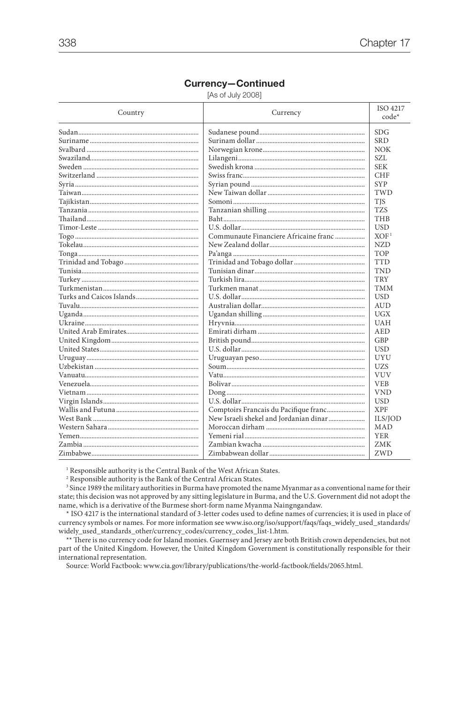[As of July 2008]

| Country | Currency                               | ISO 4217<br>code* |
|---------|----------------------------------------|-------------------|
|         |                                        | <b>SDG</b>        |
|         |                                        | <b>SRD</b>        |
|         |                                        | <b>NOK</b>        |
|         |                                        | SZL               |
|         |                                        | <b>SEK</b>        |
|         |                                        | <b>CHF</b>        |
|         |                                        | <b>SYP</b>        |
|         |                                        | TWD               |
|         |                                        | <b>TIS</b>        |
|         |                                        | <b>TZS</b>        |
|         |                                        | THB               |
|         |                                        | <b>USD</b>        |
|         | Communaute Financiere Africaine franc  | XOF <sup>1</sup>  |
|         |                                        | <b>NZD</b>        |
|         |                                        | <b>TOP</b>        |
|         |                                        | <b>TTD</b>        |
|         |                                        | <b>TND</b>        |
|         |                                        | <b>TRY</b>        |
|         |                                        | <b>TMM</b>        |
|         |                                        | <b>USD</b>        |
|         |                                        | <b>AUD</b>        |
|         |                                        | UGX               |
|         |                                        | <b>UAH</b>        |
|         |                                        | AED               |
|         |                                        | GBP               |
|         |                                        | <b>USD</b>        |
|         |                                        | UYU               |
|         |                                        | <b>UZS</b>        |
|         |                                        | <b>VUV</b>        |
|         |                                        | <b>VEB</b>        |
|         |                                        | <b>VND</b>        |
|         |                                        | <b>USD</b>        |
|         |                                        | <b>XPF</b>        |
|         | New Israeli shekel and Jordanian dinar | ILS/JOD           |
|         |                                        | MAD               |
|         |                                        | <b>YER</b>        |
|         |                                        | <b>ZMK</b>        |
|         |                                        | ZWD               |

<sup>1</sup> Responsible authority is the Central Bank of the West African States.

<sup>2</sup> Responsible authority is the Bank of the Central African States.

<sup>3</sup> Since 1989 the military authorities in Burma have promoted the name Myanmar as a conventional name for their state; this decision was not approved by any sitting legislature in Burma, and the U.S. Government did not adopt the name, which is a derivative of the Burmese short-form name Myanma Naingngandaw.

\* ISO 4217 is the international standard of 3-letter codes used to define names of currencies; it is used in place of currency symbols or names. For more information see www.iso.org/iso/support/faqs/faqs\_widely\_used\_standards/ widely\_used\_standards\_other/currency\_codes/currency\_codes\_list-1.htm.

\*\* There is no currency code for Island monies. Guernsey and Jersey are both British crown dependencies, but not part of the United Kingdom. However, the United Kingdom Government is constitutionally responsible for their international representation.

Source: World Factbook: www.cia.gov/library/publications/the-world-factbook/fields/2065.html.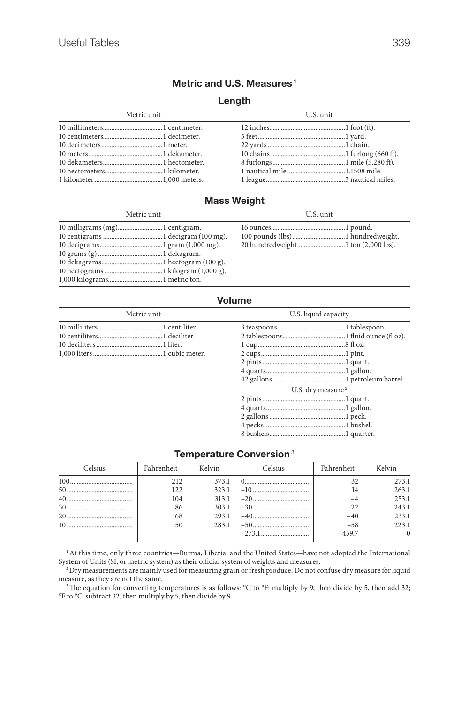### **Metric and U.S. Measures** <sup>1</sup>

#### **Length**

| Metric unit | U.S. unit |  |
|-------------|-----------|--|
|             |           |  |
|             |           |  |
|             |           |  |
|             |           |  |
|             |           |  |
|             |           |  |
|             |           |  |

### **Mass Weight**

| Metric unit | U.S. unit |
|-------------|-----------|
|             |           |

#### **Volume**

| Metric unit | U.S. liquid capacity          |  |
|-------------|-------------------------------|--|
|             | U.S. dry measure <sup>2</sup> |  |

#### **Temperature Conversion**<sup>3</sup>

| Celsius | Fahrenheit | Kelvin | Celsius | Fahrenheit | Kelvin   |
|---------|------------|--------|---------|------------|----------|
| 100     | 212        | 373.1  |         | 32         | 273.1    |
|         | 122        | 323.1  |         | 14         | 263.1    |
|         | 104        | 313.1  |         | $-4$       | 253.1    |
|         | 86         | 303.1  |         | $-22$      | 243.1    |
|         | 68         | 293.1  |         | $-40$      | 233.1    |
|         | 50         | 283.1  |         | $-58$      | 223.1    |
|         |            |        |         | $-459.7$   | $\Omega$ |
|         |            |        |         |            |          |

 $^{\rm 1}$  At this time, only three countries—Burma, Liberia, and the United States—have not adopted the International System of Units (SI, or metric system) as their official system of weights and measures.

2 Dry measurements are mainly used for measuring grain or fresh produce. Do not confuse dry measure for liquid measure, as they are not the same.

<sup>3</sup> The equation for converting temperatures is as follows: °C to °F: multiply by 9, then divide by 5, then add 32; °F to °C: subtract 32, then multiply by 5, then divide by 9.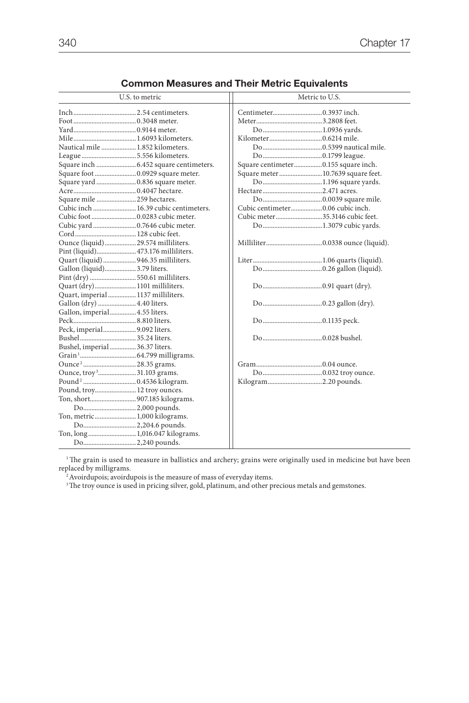| U.S. to metric                         | Metric to U.S.                      |  |  |  |  |
|----------------------------------------|-------------------------------------|--|--|--|--|
|                                        |                                     |  |  |  |  |
|                                        |                                     |  |  |  |  |
|                                        |                                     |  |  |  |  |
|                                        |                                     |  |  |  |  |
| Nautical mile  1.852 kilometers.       |                                     |  |  |  |  |
|                                        |                                     |  |  |  |  |
|                                        | Square centimeter0.155 square inch. |  |  |  |  |
|                                        | Square meter  10.7639 square feet.  |  |  |  |  |
| Square yard  0.836 square meter.       |                                     |  |  |  |  |
|                                        |                                     |  |  |  |  |
| Square mile  259 hectares.             |                                     |  |  |  |  |
| Cubic inch  16.39 cubic centimeters.   |                                     |  |  |  |  |
|                                        | Cubic meter35.3146 cubic feet.      |  |  |  |  |
| Cubic yard  0.7646 cubic meter.        |                                     |  |  |  |  |
|                                        |                                     |  |  |  |  |
| Ounce (liquid) 29.574 milliliters.     |                                     |  |  |  |  |
| Pint (liquid) 473.176 milliliters.     |                                     |  |  |  |  |
| Quart (liquid) 946.35 milliliters.     |                                     |  |  |  |  |
| Gallon (liquid)3.79 liters.            |                                     |  |  |  |  |
|                                        |                                     |  |  |  |  |
| Quart (dry) 1101 milliliters.          |                                     |  |  |  |  |
| Quart, imperial 1137 milliliters.      |                                     |  |  |  |  |
| Gallon (dry)  4.40 liters.             |                                     |  |  |  |  |
| Gallon, imperial 4.55 liters.          |                                     |  |  |  |  |
|                                        |                                     |  |  |  |  |
| Peck, imperial9.092 liters.            |                                     |  |  |  |  |
|                                        |                                     |  |  |  |  |
| Bushel, imperial36.37 liters.          |                                     |  |  |  |  |
|                                        |                                     |  |  |  |  |
| Ounce <sup>2</sup> 28.35 grams.        |                                     |  |  |  |  |
| Ounce, troy <sup>3</sup> 31.103 grams. |                                     |  |  |  |  |
|                                        |                                     |  |  |  |  |
| Pound, troy 12 troy ounces.            |                                     |  |  |  |  |
| Ton, short907.185 kilograms.           |                                     |  |  |  |  |
|                                        |                                     |  |  |  |  |
| Ton, metric 1,000 kilograms.           |                                     |  |  |  |  |
| Do2,204.6 pounds.                      |                                     |  |  |  |  |
| Ton, long 1,016.047 kilograms.         |                                     |  |  |  |  |
|                                        |                                     |  |  |  |  |

### **Common Measures and Their Metric Equivalents**

 $1$ The grain is used to measure in ballistics and archery; grains were originally used in medicine but have been replaced by milligrams.<br><sup>2</sup> Avoirdupois; avoirdupois is the measure of mass of everyday items.

<sup>3</sup>The troy ounce is used in pricing silver, gold, platinum, and other precious metals and gemstones.